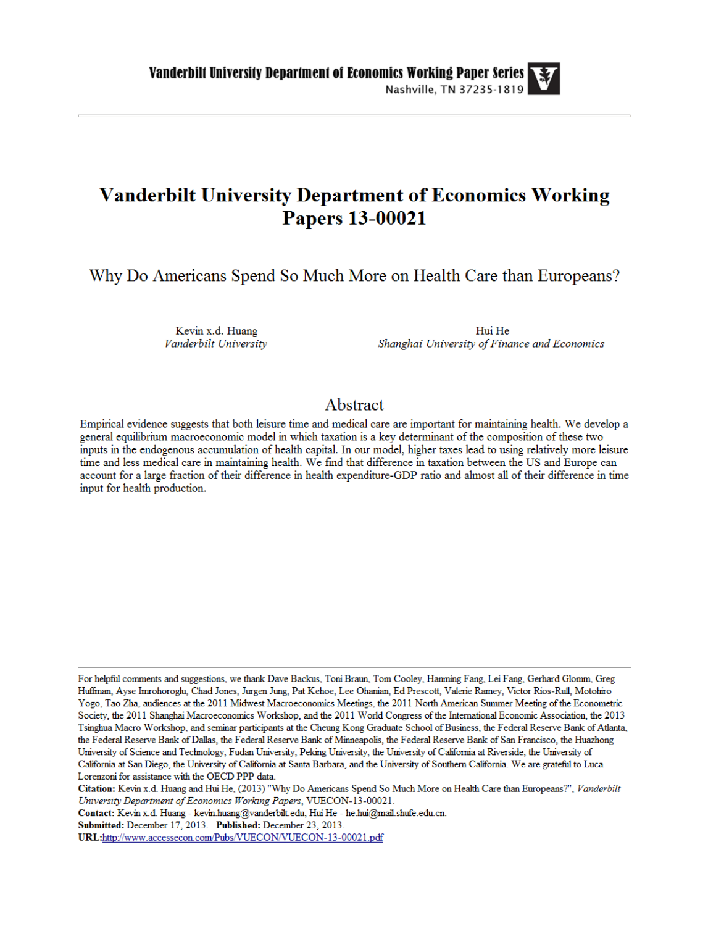# **Vanderbilt University Department of Economics Working Papers 13-00021**

Why Do Americans Spend So Much More on Health Care than Europeans?

Kevin x.d. Huang Vanderbilt University

Hui He Shanghai University of Finance and Economics

### Abstract

Empirical evidence suggests that both leisure time and medical care are important for maintaining health. We develop a general equilibrium macroeconomic model in which taxation is a key determinant of the composition of these two inputs in the endogenous accumulation of health capital. In our model, higher taxes lead to using relatively more leisure time and less medical care in maintaining health. We find that difference in taxation between the US and Europe can account for a large fraction of their difference in health expenditure-GDP ratio and almost all of their difference in time input for health production.

For helpful comments and suggestions, we thank Dave Backus, Toni Braun, Tom Cooley, Hanming Fang, Lei Fang, Gerhard Glomm, Greg Huffman, Ayse Imrohoroglu, Chad Jones, Jurgen Jung, Pat Kehoe, Lee Ohanian, Ed Prescott, Valerie Ramey, Victor Rios-Rull, Motohiro Yogo, Tao Zha, audiences at the 2011 Midwest Macroeconomics Meetings, the 2011 North American Summer Meeting of the Econometric Society, the 2011 Shanghai Macroeconomics Workshop, and the 2011 World Congress of the International Economic Association, the 2013 Tsinghua Macro Workshop, and seminar participants at the Cheung Kong Graduate School of Business, the Federal Reserve Bank of Atlanta, the Federal Reserve Bank of Dallas, the Federal Reserve Bank of Minneapolis, the Federal Reserve Bank of San Francisco, the Huazhong University of Science and Technology, Fudan University, Peking University, the University of California at Riverside, the University of California at San Diego, the University of California at Santa Barbara, and the University of Southern California. We are grateful to Luca Lorenzoni for assistance with the OECD PPP data.

Citation: Kevin x.d. Huang and Hui He, (2013) "Why Do Americans Spend So Much More on Health Care than Europeans?", Vanderbilt University Department of Economics Working Papers, VUECON-13-00021.

Contact: Kevin x.d. Huang - kevin.huang@vanderbilt.edu, Hui He - he.hui@mail.shufe.edu.cn.

Submitted: December 17, 2013. Published: December 23, 2013.

URL:http://www.accessecon.com/Pubs/VUECON/VUECON-13-00021.pdf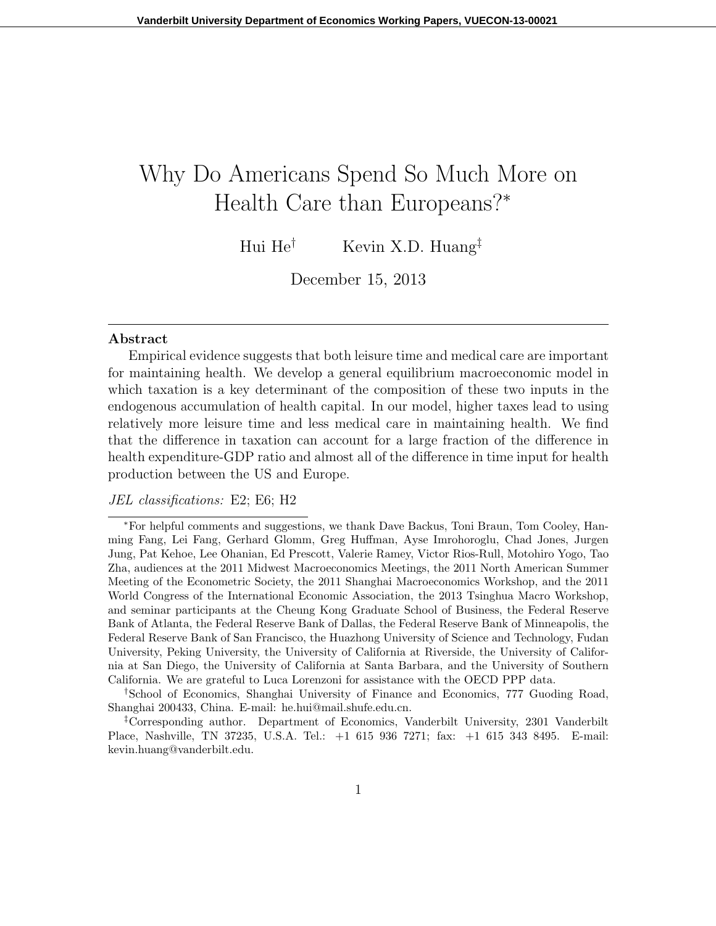# Why Do Americans Spend So Much More on Health Care than Europeans?*<sup>∗</sup>*

Hui He*†* Kevin X.D. Huang*‡*

December 15, 2013

#### **Abstract**

Empirical evidence suggests that both leisure time and medical care are important for maintaining health. We develop a general equilibrium macroeconomic model in which taxation is a key determinant of the composition of these two inputs in the endogenous accumulation of health capital. In our model, higher taxes lead to using relatively more leisure time and less medical care in maintaining health. We find that the difference in taxation can account for a large fraction of the difference in health expenditure-GDP ratio and almost all of the difference in time input for health production between the US and Europe.

#### *JEL classifications:* E2; E6; H2

*†*School of Economics, Shanghai University of Finance and Economics, 777 Guoding Road, Shanghai 200433, China. E-mail: he.hui@mail.shufe.edu.cn.

*‡*Corresponding author. Department of Economics, Vanderbilt University, 2301 Vanderbilt Place, Nashville, TN 37235, U.S.A. Tel.: +1 615 936 7271; fax: +1 615 343 8495. E-mail: kevin.huang@vanderbilt.edu.

*<sup>∗</sup>*For helpful comments and suggestions, we thank Dave Backus, Toni Braun, Tom Cooley, Hanming Fang, Lei Fang, Gerhard Glomm, Greg Huffman, Ayse Imrohoroglu, Chad Jones, Jurgen Jung, Pat Kehoe, Lee Ohanian, Ed Prescott, Valerie Ramey, Victor Rios-Rull, Motohiro Yogo, Tao Zha, audiences at the 2011 Midwest Macroeconomics Meetings, the 2011 North American Summer Meeting of the Econometric Society, the 2011 Shanghai Macroeconomics Workshop, and the 2011 World Congress of the International Economic Association, the 2013 Tsinghua Macro Workshop, and seminar participants at the Cheung Kong Graduate School of Business, the Federal Reserve Bank of Atlanta, the Federal Reserve Bank of Dallas, the Federal Reserve Bank of Minneapolis, the Federal Reserve Bank of San Francisco, the Huazhong University of Science and Technology, Fudan University, Peking University, the University of California at Riverside, the University of California at San Diego, the University of California at Santa Barbara, and the University of Southern California. We are grateful to Luca Lorenzoni for assistance with the OECD PPP data.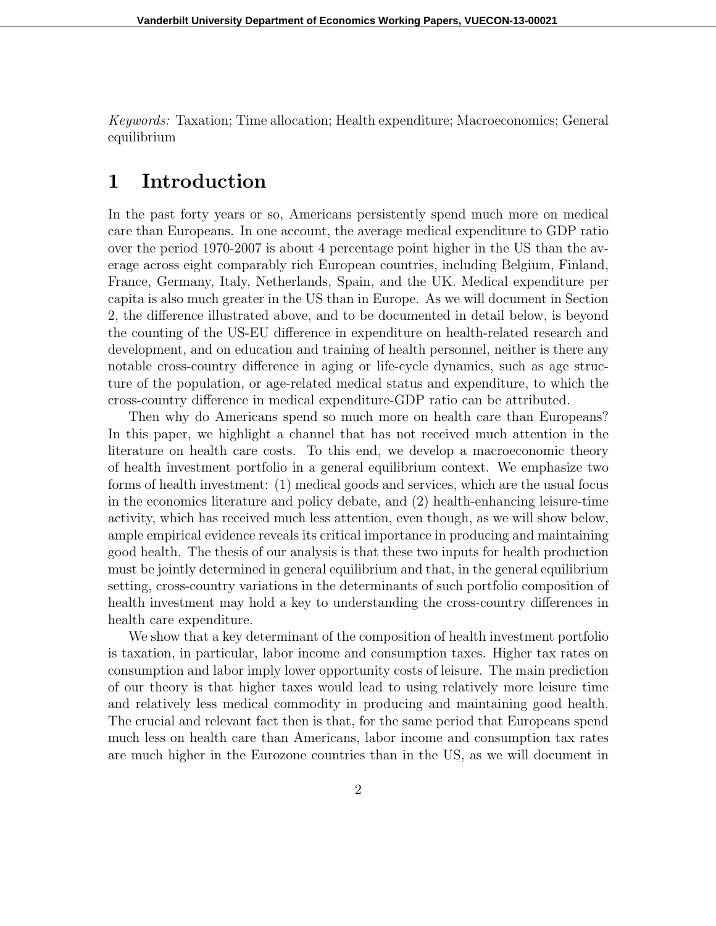*Keywords:* Taxation; Time allocation; Health expenditure; Macroeconomics; General equilibrium

### **1 Introduction**

In the past forty years or so, Americans persistently spend much more on medical care than Europeans. In one account, the average medical expenditure to GDP ratio over the period 1970-2007 is about 4 percentage point higher in the US than the average across eight comparably rich European countries, including Belgium, Finland, France, Germany, Italy, Netherlands, Spain, and the UK. Medical expenditure per capita is also much greater in the US than in Europe. As we will document in Section 2, the difference illustrated above, and to be documented in detail below, is beyond the counting of the US-EU difference in expenditure on health-related research and development, and on education and training of health personnel, neither is there any notable cross-country difference in aging or life-cycle dynamics, such as age structure of the population, or age-related medical status and expenditure, to which the cross-country difference in medical expenditure-GDP ratio can be attributed.

Then why do Americans spend so much more on health care than Europeans? In this paper, we highlight a channel that has not received much attention in the literature on health care costs. To this end, we develop a macroeconomic theory of health investment portfolio in a general equilibrium context. We emphasize two forms of health investment: (1) medical goods and services, which are the usual focus in the economics literature and policy debate, and (2) health-enhancing leisure-time activity, which has received much less attention, even though, as we will show below, ample empirical evidence reveals its critical importance in producing and maintaining good health. The thesis of our analysis is that these two inputs for health production must be jointly determined in general equilibrium and that, in the general equilibrium setting, cross-country variations in the determinants of such portfolio composition of health investment may hold a key to understanding the cross-country differences in health care expenditure.

We show that a key determinant of the composition of health investment portfolio is taxation, in particular, labor income and consumption taxes. Higher tax rates on consumption and labor imply lower opportunity costs of leisure. The main prediction of our theory is that higher taxes would lead to using relatively more leisure time and relatively less medical commodity in producing and maintaining good health. The crucial and relevant fact then is that, for the same period that Europeans spend much less on health care than Americans, labor income and consumption tax rates are much higher in the Eurozone countries than in the US, as we will document in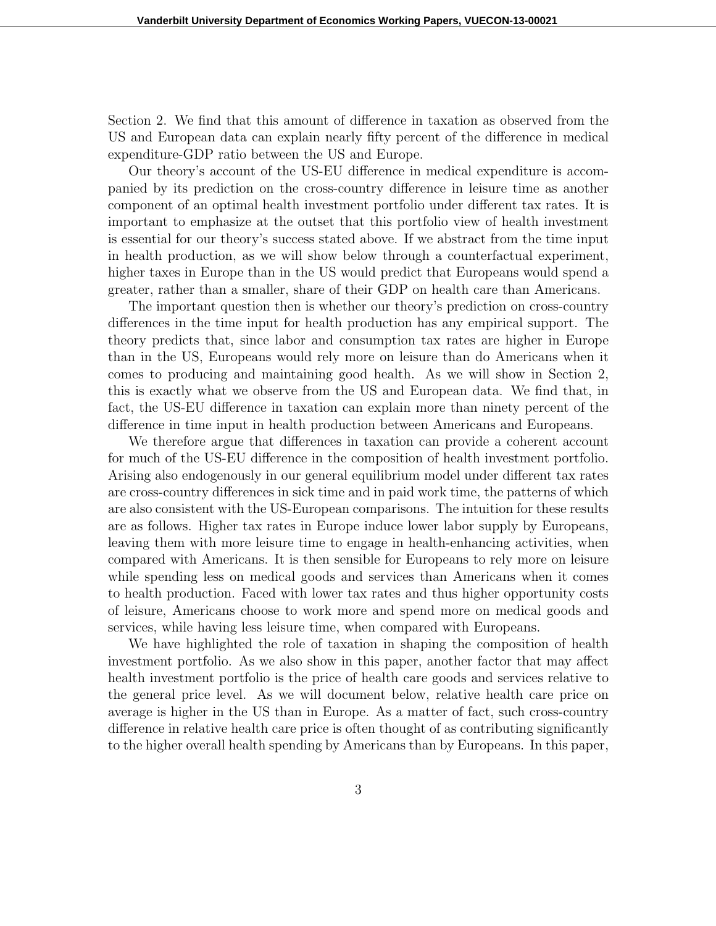Section 2. We find that this amount of difference in taxation as observed from the US and European data can explain nearly fifty percent of the difference in medical expenditure-GDP ratio between the US and Europe.

Our theory's account of the US-EU difference in medical expenditure is accompanied by its prediction on the cross-country difference in leisure time as another component of an optimal health investment portfolio under different tax rates. It is important to emphasize at the outset that this portfolio view of health investment is essential for our theory's success stated above. If we abstract from the time input in health production, as we will show below through a counterfactual experiment, higher taxes in Europe than in the US would predict that Europeans would spend a greater, rather than a smaller, share of their GDP on health care than Americans.

The important question then is whether our theory's prediction on cross-country differences in the time input for health production has any empirical support. The theory predicts that, since labor and consumption tax rates are higher in Europe than in the US, Europeans would rely more on leisure than do Americans when it comes to producing and maintaining good health. As we will show in Section 2, this is exactly what we observe from the US and European data. We find that, in fact, the US-EU difference in taxation can explain more than ninety percent of the difference in time input in health production between Americans and Europeans.

We therefore argue that differences in taxation can provide a coherent account for much of the US-EU difference in the composition of health investment portfolio. Arising also endogenously in our general equilibrium model under different tax rates are cross-country differences in sick time and in paid work time, the patterns of which are also consistent with the US-European comparisons. The intuition for these results are as follows. Higher tax rates in Europe induce lower labor supply by Europeans, leaving them with more leisure time to engage in health-enhancing activities, when compared with Americans. It is then sensible for Europeans to rely more on leisure while spending less on medical goods and services than Americans when it comes to health production. Faced with lower tax rates and thus higher opportunity costs of leisure, Americans choose to work more and spend more on medical goods and services, while having less leisure time, when compared with Europeans.

We have highlighted the role of taxation in shaping the composition of health investment portfolio. As we also show in this paper, another factor that may affect health investment portfolio is the price of health care goods and services relative to the general price level. As we will document below, relative health care price on average is higher in the US than in Europe. As a matter of fact, such cross-country difference in relative health care price is often thought of as contributing significantly to the higher overall health spending by Americans than by Europeans. In this paper,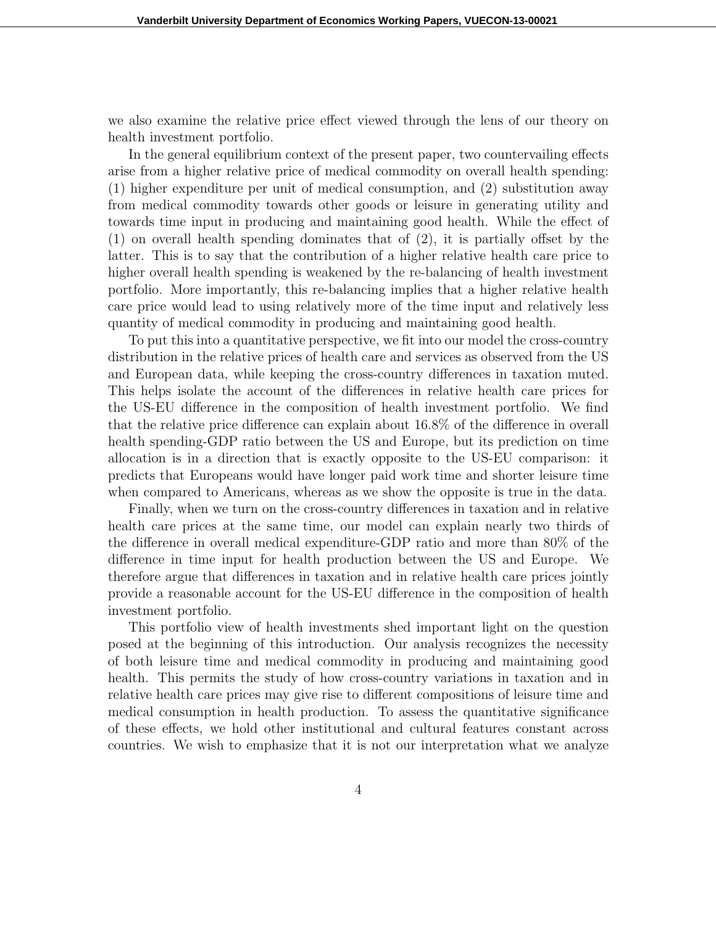we also examine the relative price effect viewed through the lens of our theory on health investment portfolio.

In the general equilibrium context of the present paper, two countervailing effects arise from a higher relative price of medical commodity on overall health spending: (1) higher expenditure per unit of medical consumption, and (2) substitution away from medical commodity towards other goods or leisure in generating utility and towards time input in producing and maintaining good health. While the effect of (1) on overall health spending dominates that of (2), it is partially offset by the latter. This is to say that the contribution of a higher relative health care price to higher overall health spending is weakened by the re-balancing of health investment portfolio. More importantly, this re-balancing implies that a higher relative health care price would lead to using relatively more of the time input and relatively less quantity of medical commodity in producing and maintaining good health.

To put this into a quantitative perspective, we fit into our model the cross-country distribution in the relative prices of health care and services as observed from the US and European data, while keeping the cross-country differences in taxation muted. This helps isolate the account of the differences in relative health care prices for the US-EU difference in the composition of health investment portfolio. We find that the relative price difference can explain about 16.8% of the difference in overall health spending-GDP ratio between the US and Europe, but its prediction on time allocation is in a direction that is exactly opposite to the US-EU comparison: it predicts that Europeans would have longer paid work time and shorter leisure time when compared to Americans, whereas as we show the opposite is true in the data.

Finally, when we turn on the cross-country differences in taxation and in relative health care prices at the same time, our model can explain nearly two thirds of the difference in overall medical expenditure-GDP ratio and more than 80% of the difference in time input for health production between the US and Europe. We therefore argue that differences in taxation and in relative health care prices jointly provide a reasonable account for the US-EU difference in the composition of health investment portfolio.

This portfolio view of health investments shed important light on the question posed at the beginning of this introduction. Our analysis recognizes the necessity of both leisure time and medical commodity in producing and maintaining good health. This permits the study of how cross-country variations in taxation and in relative health care prices may give rise to different compositions of leisure time and medical consumption in health production. To assess the quantitative significance of these effects, we hold other institutional and cultural features constant across countries. We wish to emphasize that it is not our interpretation what we analyze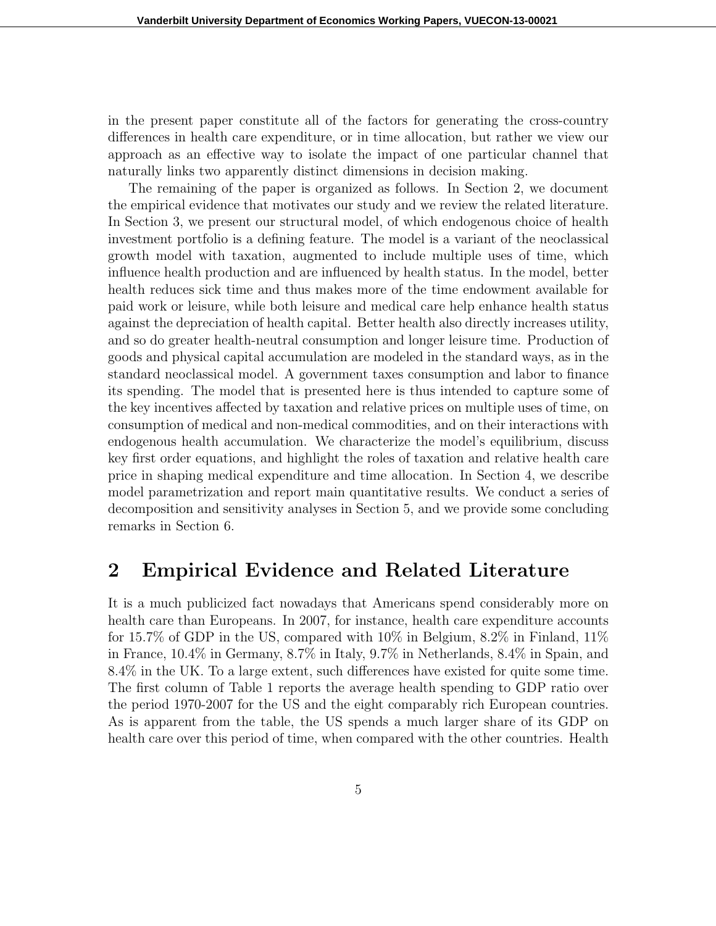in the present paper constitute all of the factors for generating the cross-country differences in health care expenditure, or in time allocation, but rather we view our approach as an effective way to isolate the impact of one particular channel that naturally links two apparently distinct dimensions in decision making.

The remaining of the paper is organized as follows. In Section 2, we document the empirical evidence that motivates our study and we review the related literature. In Section 3, we present our structural model, of which endogenous choice of health investment portfolio is a defining feature. The model is a variant of the neoclassical growth model with taxation, augmented to include multiple uses of time, which influence health production and are influenced by health status. In the model, better health reduces sick time and thus makes more of the time endowment available for paid work or leisure, while both leisure and medical care help enhance health status against the depreciation of health capital. Better health also directly increases utility, and so do greater health-neutral consumption and longer leisure time. Production of goods and physical capital accumulation are modeled in the standard ways, as in the standard neoclassical model. A government taxes consumption and labor to finance its spending. The model that is presented here is thus intended to capture some of the key incentives affected by taxation and relative prices on multiple uses of time, on consumption of medical and non-medical commodities, and on their interactions with endogenous health accumulation. We characterize the model's equilibrium, discuss key first order equations, and highlight the roles of taxation and relative health care price in shaping medical expenditure and time allocation. In Section 4, we describe model parametrization and report main quantitative results. We conduct a series of decomposition and sensitivity analyses in Section 5, and we provide some concluding remarks in Section 6.

### **2 Empirical Evidence and Related Literature**

It is a much publicized fact nowadays that Americans spend considerably more on health care than Europeans. In 2007, for instance, health care expenditure accounts for 15.7% of GDP in the US, compared with 10% in Belgium, 8.2% in Finland, 11% in France, 10.4% in Germany, 8.7% in Italy, 9.7% in Netherlands, 8.4% in Spain, and 8.4% in the UK. To a large extent, such differences have existed for quite some time. The first column of Table 1 reports the average health spending to GDP ratio over the period 1970-2007 for the US and the eight comparably rich European countries. As is apparent from the table, the US spends a much larger share of its GDP on health care over this period of time, when compared with the other countries. Health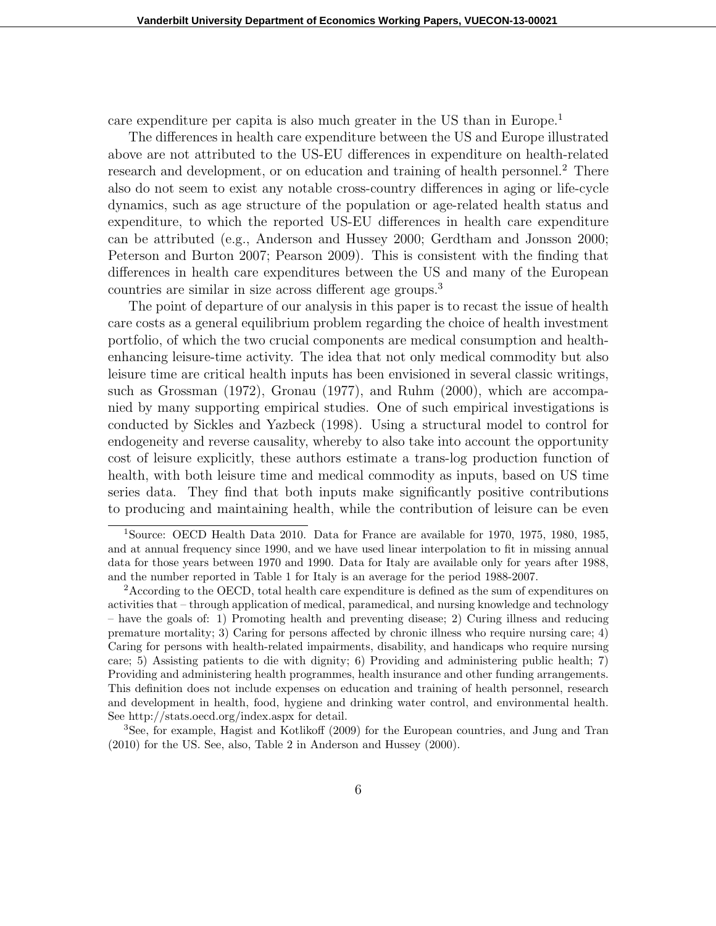care expenditure per capita is also much greater in the US than in Europe.<sup>1</sup>

The differences in health care expenditure between the US and Europe illustrated above are not attributed to the US-EU differences in expenditure on health-related research and development, or on education and training of health personnel.<sup>2</sup> There also do not seem to exist any notable cross-country differences in aging or life-cycle dynamics, such as age structure of the population or age-related health status and expenditure, to which the reported US-EU differences in health care expenditure can be attributed (e.g., Anderson and Hussey 2000; Gerdtham and Jonsson 2000; Peterson and Burton 2007; Pearson 2009). This is consistent with the finding that differences in health care expenditures between the US and many of the European countries are similar in size across different age groups.<sup>3</sup>

The point of departure of our analysis in this paper is to recast the issue of health care costs as a general equilibrium problem regarding the choice of health investment portfolio, of which the two crucial components are medical consumption and healthenhancing leisure-time activity. The idea that not only medical commodity but also leisure time are critical health inputs has been envisioned in several classic writings, such as Grossman (1972), Gronau (1977), and Ruhm (2000), which are accompanied by many supporting empirical studies. One of such empirical investigations is conducted by Sickles and Yazbeck (1998). Using a structural model to control for endogeneity and reverse causality, whereby to also take into account the opportunity cost of leisure explicitly, these authors estimate a trans-log production function of health, with both leisure time and medical commodity as inputs, based on US time series data. They find that both inputs make significantly positive contributions to producing and maintaining health, while the contribution of leisure can be even

<sup>&</sup>lt;sup>1</sup>Source: OECD Health Data 2010. Data for France are available for 1970, 1975, 1980, 1985, and at annual frequency since 1990, and we have used linear interpolation to fit in missing annual data for those years between 1970 and 1990. Data for Italy are available only for years after 1988, and the number reported in Table 1 for Italy is an average for the period 1988-2007.

<sup>&</sup>lt;sup>2</sup> According to the OECD, total health care expenditure is defined as the sum of expenditures on activities that – through application of medical, paramedical, and nursing knowledge and technology – have the goals of: 1) Promoting health and preventing disease; 2) Curing illness and reducing premature mortality; 3) Caring for persons affected by chronic illness who require nursing care; 4) Caring for persons with health-related impairments, disability, and handicaps who require nursing care; 5) Assisting patients to die with dignity; 6) Providing and administering public health; 7) Providing and administering health programmes, health insurance and other funding arrangements. This definition does not include expenses on education and training of health personnel, research and development in health, food, hygiene and drinking water control, and environmental health. See http://stats.oecd.org/index.aspx for detail.

<sup>3</sup>See, for example, Hagist and Kotlikoff (2009) for the European countries, and Jung and Tran (2010) for the US. See, also, Table 2 in Anderson and Hussey (2000).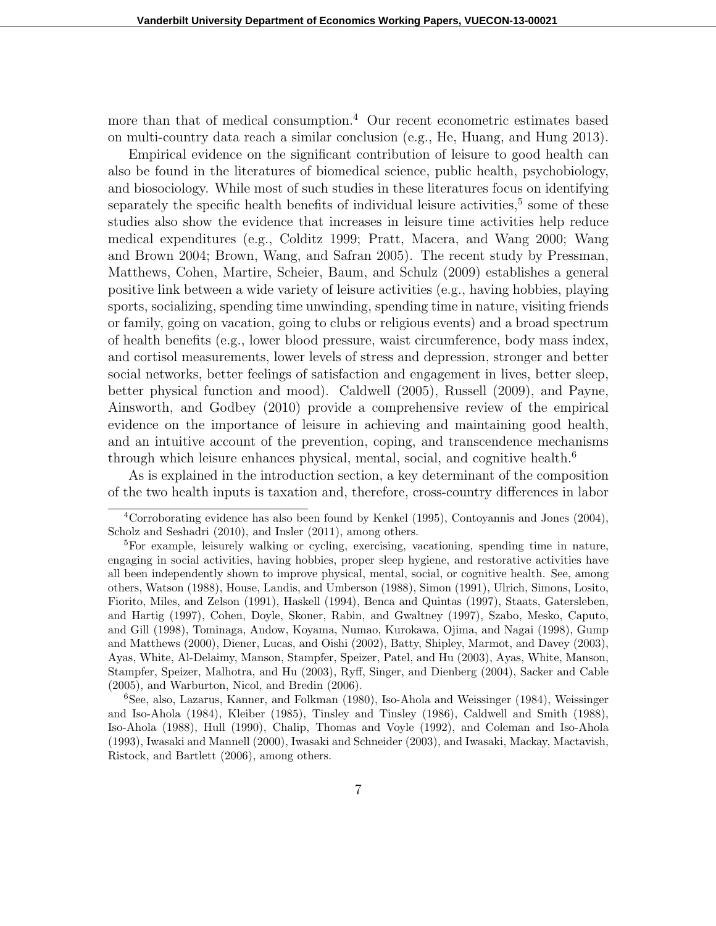more than that of medical consumption.<sup>4</sup> Our recent econometric estimates based on multi-country data reach a similar conclusion (e.g., He, Huang, and Hung 2013).

Empirical evidence on the significant contribution of leisure to good health can also be found in the literatures of biomedical science, public health, psychobiology, and biosociology. While most of such studies in these literatures focus on identifying separately the specific health benefits of individual leisure activities,<sup>5</sup> some of these studies also show the evidence that increases in leisure time activities help reduce medical expenditures (e.g., Colditz 1999; Pratt, Macera, and Wang 2000; Wang and Brown 2004; Brown, Wang, and Safran 2005). The recent study by Pressman, Matthews, Cohen, Martire, Scheier, Baum, and Schulz (2009) establishes a general positive link between a wide variety of leisure activities (e.g., having hobbies, playing sports, socializing, spending time unwinding, spending time in nature, visiting friends or family, going on vacation, going to clubs or religious events) and a broad spectrum of health benefits (e.g., lower blood pressure, waist circumference, body mass index, and cortisol measurements, lower levels of stress and depression, stronger and better social networks, better feelings of satisfaction and engagement in lives, better sleep, better physical function and mood). Caldwell (2005), Russell (2009), and Payne, Ainsworth, and Godbey (2010) provide a comprehensive review of the empirical evidence on the importance of leisure in achieving and maintaining good health, and an intuitive account of the prevention, coping, and transcendence mechanisms through which leisure enhances physical, mental, social, and cognitive health.<sup>6</sup>

As is explained in the introduction section, a key determinant of the composition of the two health inputs is taxation and, therefore, cross-country differences in labor

<sup>4</sup>Corroborating evidence has also been found by Kenkel (1995), Contoyannis and Jones (2004), Scholz and Seshadri (2010), and Insler (2011), among others.

<sup>&</sup>lt;sup>5</sup>For example, leisurely walking or cycling, exercising, vacationing, spending time in nature, engaging in social activities, having hobbies, proper sleep hygiene, and restorative activities have all been independently shown to improve physical, mental, social, or cognitive health. See, among others, Watson (1988), House, Landis, and Umberson (1988), Simon (1991), Ulrich, Simons, Losito, Fiorito, Miles, and Zelson (1991), Haskell (1994), Benca and Quintas (1997), Staats, Gatersleben, and Hartig (1997), Cohen, Doyle, Skoner, Rabin, and Gwaltney (1997), Szabo, Mesko, Caputo, and Gill (1998), Tominaga, Andow, Koyama, Numao, Kurokawa, Ojima, and Nagai (1998), Gump and Matthews (2000), Diener, Lucas, and Oishi (2002), Batty, Shipley, Marmot, and Davey (2003), Ayas, White, Al-Delaimy, Manson, Stampfer, Speizer, Patel, and Hu (2003), Ayas, White, Manson, Stampfer, Speizer, Malhotra, and Hu (2003), Ryff, Singer, and Dienberg (2004), Sacker and Cable (2005), and Warburton, Nicol, and Bredin (2006).

<sup>6</sup>See, also, Lazarus, Kanner, and Folkman (1980), Iso-Ahola and Weissinger (1984), Weissinger and Iso-Ahola (1984), Kleiber (1985), Tinsley and Tinsley (1986), Caldwell and Smith (1988), Iso-Ahola (1988), Hull (1990), Chalip, Thomas and Voyle (1992), and Coleman and Iso-Ahola (1993), Iwasaki and Mannell (2000), Iwasaki and Schneider (2003), and Iwasaki, Mackay, Mactavish, Ristock, and Bartlett (2006), among others.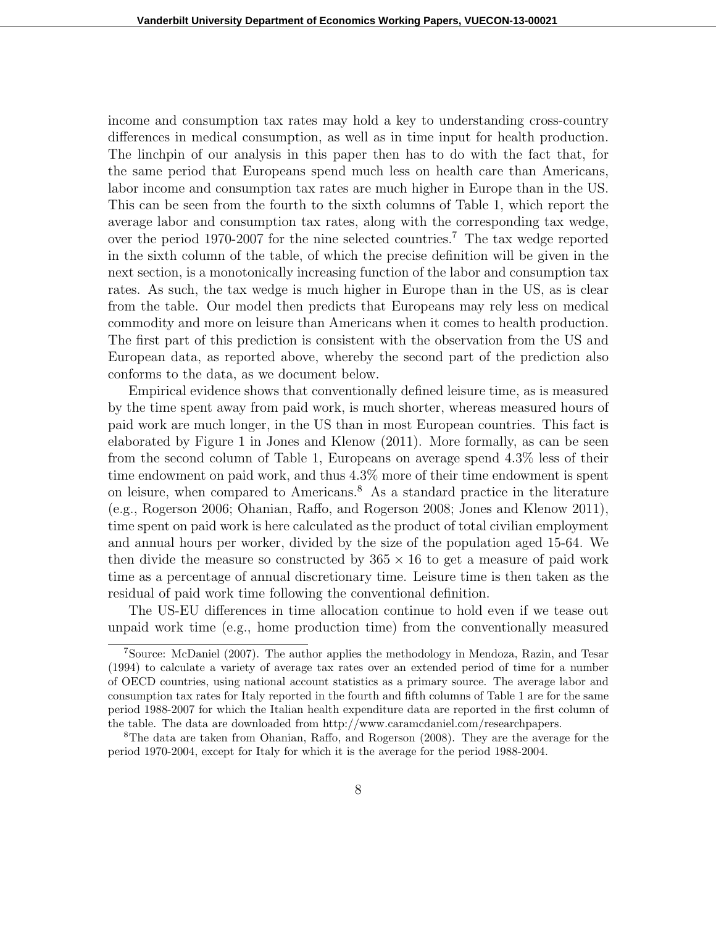income and consumption tax rates may hold a key to understanding cross-country differences in medical consumption, as well as in time input for health production. The linchpin of our analysis in this paper then has to do with the fact that, for the same period that Europeans spend much less on health care than Americans, labor income and consumption tax rates are much higher in Europe than in the US. This can be seen from the fourth to the sixth columns of Table 1, which report the average labor and consumption tax rates, along with the corresponding tax wedge, over the period 1970-2007 for the nine selected countries.<sup>7</sup> The tax wedge reported in the sixth column of the table, of which the precise definition will be given in the next section, is a monotonically increasing function of the labor and consumption tax rates. As such, the tax wedge is much higher in Europe than in the US, as is clear from the table. Our model then predicts that Europeans may rely less on medical commodity and more on leisure than Americans when it comes to health production. The first part of this prediction is consistent with the observation from the US and European data, as reported above, whereby the second part of the prediction also conforms to the data, as we document below.

Empirical evidence shows that conventionally defined leisure time, as is measured by the time spent away from paid work, is much shorter, whereas measured hours of paid work are much longer, in the US than in most European countries. This fact is elaborated by Figure 1 in Jones and Klenow (2011). More formally, as can be seen from the second column of Table 1, Europeans on average spend 4.3% less of their time endowment on paid work, and thus 4.3% more of their time endowment is spent on leisure, when compared to Americans.<sup>8</sup> As a standard practice in the literature (e.g., Rogerson 2006; Ohanian, Raffo, and Rogerson 2008; Jones and Klenow 2011), time spent on paid work is here calculated as the product of total civilian employment and annual hours per worker, divided by the size of the population aged 15-64. We then divide the measure so constructed by  $365 \times 16$  to get a measure of paid work time as a percentage of annual discretionary time. Leisure time is then taken as the residual of paid work time following the conventional definition.

The US-EU differences in time allocation continue to hold even if we tease out unpaid work time (e.g., home production time) from the conventionally measured

<sup>7</sup>Source: McDaniel (2007). The author applies the methodology in Mendoza, Razin, and Tesar (1994) to calculate a variety of average tax rates over an extended period of time for a number of OECD countries, using national account statistics as a primary source. The average labor and consumption tax rates for Italy reported in the fourth and fifth columns of Table 1 are for the same period 1988-2007 for which the Italian health expenditure data are reported in the first column of the table. The data are downloaded from http://www.caramcdaniel.com/researchpapers.

<sup>8</sup>The data are taken from Ohanian, Raffo, and Rogerson (2008). They are the average for the period 1970-2004, except for Italy for which it is the average for the period 1988-2004.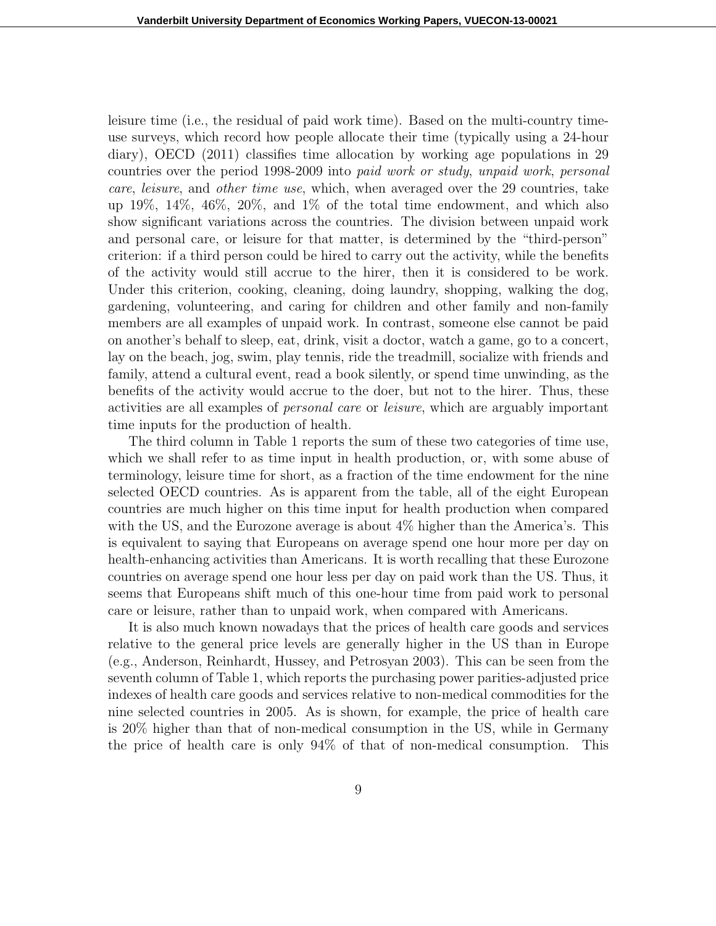leisure time (i.e., the residual of paid work time). Based on the multi-country timeuse surveys, which record how people allocate their time (typically using a 24-hour diary), OECD (2011) classifies time allocation by working age populations in 29 countries over the period 1998-2009 into *paid work or study*, *unpaid work*, *personal care*, *leisure*, and *other time use*, which, when averaged over the 29 countries, take up 19%, 14%, 46%, 20%, and 1% of the total time endowment, and which also show significant variations across the countries. The division between unpaid work and personal care, or leisure for that matter, is determined by the "third-person" criterion: if a third person could be hired to carry out the activity, while the benefits of the activity would still accrue to the hirer, then it is considered to be work. Under this criterion, cooking, cleaning, doing laundry, shopping, walking the dog, gardening, volunteering, and caring for children and other family and non-family members are all examples of unpaid work. In contrast, someone else cannot be paid on another's behalf to sleep, eat, drink, visit a doctor, watch a game, go to a concert, lay on the beach, jog, swim, play tennis, ride the treadmill, socialize with friends and family, attend a cultural event, read a book silently, or spend time unwinding, as the benefits of the activity would accrue to the doer, but not to the hirer. Thus, these activities are all examples of *personal care* or *leisure*, which are arguably important time inputs for the production of health.

The third column in Table 1 reports the sum of these two categories of time use, which we shall refer to as time input in health production, or, with some abuse of terminology, leisure time for short, as a fraction of the time endowment for the nine selected OECD countries. As is apparent from the table, all of the eight European countries are much higher on this time input for health production when compared with the US, and the Eurozone average is about  $4\%$  higher than the America's. This is equivalent to saying that Europeans on average spend one hour more per day on health-enhancing activities than Americans. It is worth recalling that these Eurozone countries on average spend one hour less per day on paid work than the US. Thus, it seems that Europeans shift much of this one-hour time from paid work to personal care or leisure, rather than to unpaid work, when compared with Americans.

It is also much known nowadays that the prices of health care goods and services relative to the general price levels are generally higher in the US than in Europe (e.g., Anderson, Reinhardt, Hussey, and Petrosyan 2003). This can be seen from the seventh column of Table 1, which reports the purchasing power parities-adjusted price indexes of health care goods and services relative to non-medical commodities for the nine selected countries in 2005. As is shown, for example, the price of health care is 20% higher than that of non-medical consumption in the US, while in Germany the price of health care is only 94% of that of non-medical consumption. This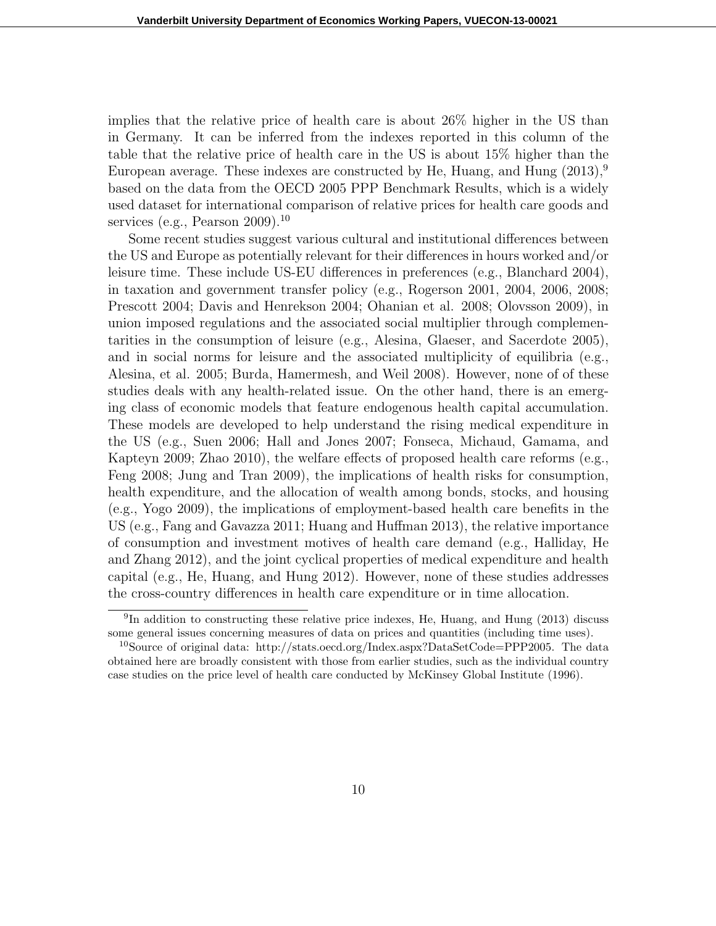implies that the relative price of health care is about 26% higher in the US than in Germany. It can be inferred from the indexes reported in this column of the table that the relative price of health care in the US is about 15% higher than the European average. These indexes are constructed by He, Huang, and Hung  $(2013)^9$ based on the data from the OECD 2005 PPP Benchmark Results, which is a widely used dataset for international comparison of relative prices for health care goods and services (e.g., Pearson 2009).<sup>10</sup>

Some recent studies suggest various cultural and institutional differences between the US and Europe as potentially relevant for their differences in hours worked and/or leisure time. These include US-EU differences in preferences (e.g., Blanchard 2004), in taxation and government transfer policy (e.g., Rogerson 2001, 2004, 2006, 2008; Prescott 2004; Davis and Henrekson 2004; Ohanian et al. 2008; Olovsson 2009), in union imposed regulations and the associated social multiplier through complementarities in the consumption of leisure (e.g., Alesina, Glaeser, and Sacerdote 2005), and in social norms for leisure and the associated multiplicity of equilibria (e.g., Alesina, et al. 2005; Burda, Hamermesh, and Weil 2008). However, none of of these studies deals with any health-related issue. On the other hand, there is an emerging class of economic models that feature endogenous health capital accumulation. These models are developed to help understand the rising medical expenditure in the US (e.g., Suen 2006; Hall and Jones 2007; Fonseca, Michaud, Gamama, and Kapteyn 2009; Zhao 2010), the welfare effects of proposed health care reforms (e.g., Feng 2008; Jung and Tran 2009), the implications of health risks for consumption, health expenditure, and the allocation of wealth among bonds, stocks, and housing (e.g., Yogo 2009), the implications of employment-based health care benefits in the US (e.g., Fang and Gavazza 2011; Huang and Huffman 2013), the relative importance of consumption and investment motives of health care demand (e.g., Halliday, He and Zhang 2012), and the joint cyclical properties of medical expenditure and health capital (e.g., He, Huang, and Hung 2012). However, none of these studies addresses the cross-country differences in health care expenditure or in time allocation.

<sup>&</sup>lt;sup>9</sup>In addition to constructing these relative price indexes, He, Huang, and Hung (2013) discuss some general issues concerning measures of data on prices and quantities (including time uses).

<sup>&</sup>lt;sup>10</sup>Source of original data: http://stats.oecd.org/Index.aspx?DataSetCode=PPP2005. The data obtained here are broadly consistent with those from earlier studies, such as the individual country case studies on the price level of health care conducted by McKinsey Global Institute (1996).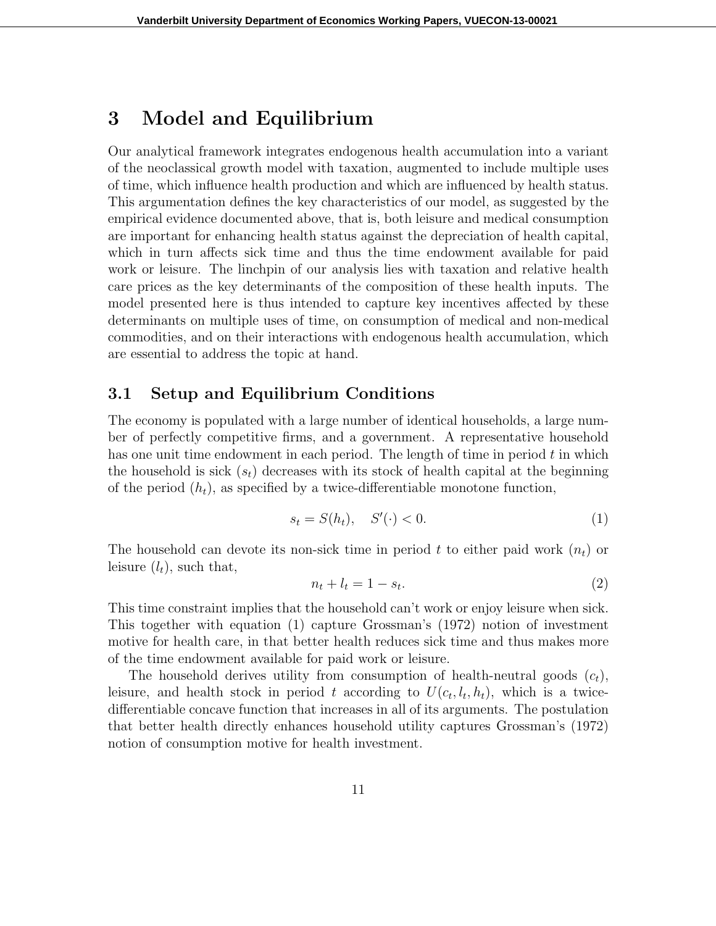### **3 Model and Equilibrium**

Our analytical framework integrates endogenous health accumulation into a variant of the neoclassical growth model with taxation, augmented to include multiple uses of time, which influence health production and which are influenced by health status. This argumentation defines the key characteristics of our model, as suggested by the empirical evidence documented above, that is, both leisure and medical consumption are important for enhancing health status against the depreciation of health capital, which in turn affects sick time and thus the time endowment available for paid work or leisure. The linchpin of our analysis lies with taxation and relative health care prices as the key determinants of the composition of these health inputs. The model presented here is thus intended to capture key incentives affected by these determinants on multiple uses of time, on consumption of medical and non-medical commodities, and on their interactions with endogenous health accumulation, which are essential to address the topic at hand.

#### **3.1 Setup and Equilibrium Conditions**

The economy is populated with a large number of identical households, a large number of perfectly competitive firms, and a government. A representative household has one unit time endowment in each period. The length of time in period *t* in which the household is sick  $(s_t)$  decreases with its stock of health capital at the beginning of the period  $(h_t)$ , as specified by a twice-differentiable monotone function,

$$
s_t = S(h_t), \quad S'(\cdot) < 0. \tag{1}
$$

The household can devote its non-sick time in period t to either paid work  $(n_t)$  or leisure  $(l_t)$ , such that,

$$
n_t + l_t = 1 - s_t. \tag{2}
$$

This time constraint implies that the household can't work or enjoy leisure when sick. This together with equation (1) capture Grossman's (1972) notion of investment motive for health care, in that better health reduces sick time and thus makes more of the time endowment available for paid work or leisure.

The household derives utility from consumption of health-neutral goods (*ct*), leisure, and health stock in period *t* according to  $U(c_t, l_t, h_t)$ , which is a twicedifferentiable concave function that increases in all of its arguments. The postulation that better health directly enhances household utility captures Grossman's (1972) notion of consumption motive for health investment.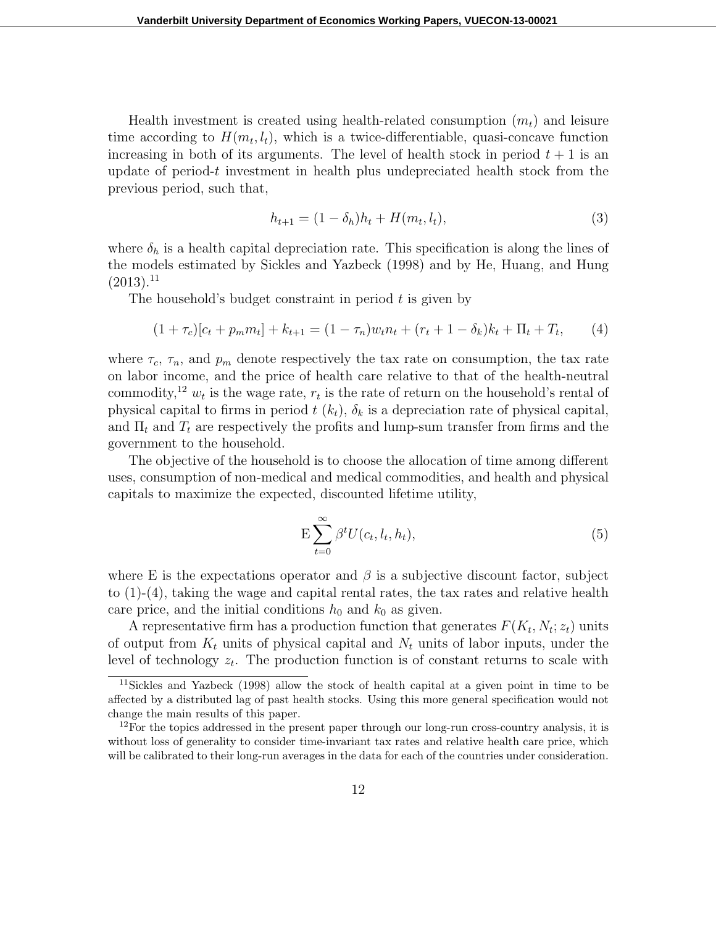Health investment is created using health-related consumption (*mt*) and leisure time according to  $H(m_t, l_t)$ , which is a twice-differentiable, quasi-concave function increasing in both of its arguments. The level of health stock in period  $t + 1$  is an update of period-*t* investment in health plus undepreciated health stock from the previous period, such that,

$$
h_{t+1} = (1 - \delta_h)h_t + H(m_t, l_t), \tag{3}
$$

where  $\delta_h$  is a health capital depreciation rate. This specification is along the lines of the models estimated by Sickles and Yazbeck (1998) and by He, Huang, and Hung  $(2013).^{11}$ 

The household's budget constraint in period *t* is given by

$$
(1 + \tau_c)[c_t + p_m m_t] + k_{t+1} = (1 - \tau_n)w_t n_t + (r_t + 1 - \delta_k)k_t + \Pi_t + T_t, \qquad (4)
$$

where  $\tau_c$ ,  $\tau_n$ , and  $p_m$  denote respectively the tax rate on consumption, the tax rate on labor income, and the price of health care relative to that of the health-neutral commodity,<sup>12</sup>  $w_t$  is the wage rate,  $r_t$  is the rate of return on the household's rental of physical capital to firms in period  $t(k_t)$ ,  $\delta_k$  is a depreciation rate of physical capital, and  $\Pi_t$  and  $T_t$  are respectively the profits and lump-sum transfer from firms and the government to the household.

The objective of the household is to choose the allocation of time among different uses, consumption of non-medical and medical commodities, and health and physical capitals to maximize the expected, discounted lifetime utility,

$$
E\sum_{t=0}^{\infty} \beta^t U(c_t, l_t, h_t), \tag{5}
$$

where E is the expectations operator and  $\beta$  is a subjective discount factor, subject to  $(1)-(4)$ , taking the wage and capital rental rates, the tax rates and relative health care price, and the initial conditions  $h_0$  and  $k_0$  as given.

A representative firm has a production function that generates  $F(K_t, N_t; z_t)$  units of output from  $K_t$  units of physical capital and  $N_t$  units of labor inputs, under the level of technology *z<sup>t</sup>* . The production function is of constant returns to scale with

<sup>11</sup>Sickles and Yazbeck (1998) allow the stock of health capital at a given point in time to be affected by a distributed lag of past health stocks. Using this more general specification would not change the main results of this paper.

 $12$ For the topics addressed in the present paper through our long-run cross-country analysis, it is without loss of generality to consider time-invariant tax rates and relative health care price, which will be calibrated to their long-run averages in the data for each of the countries under consideration.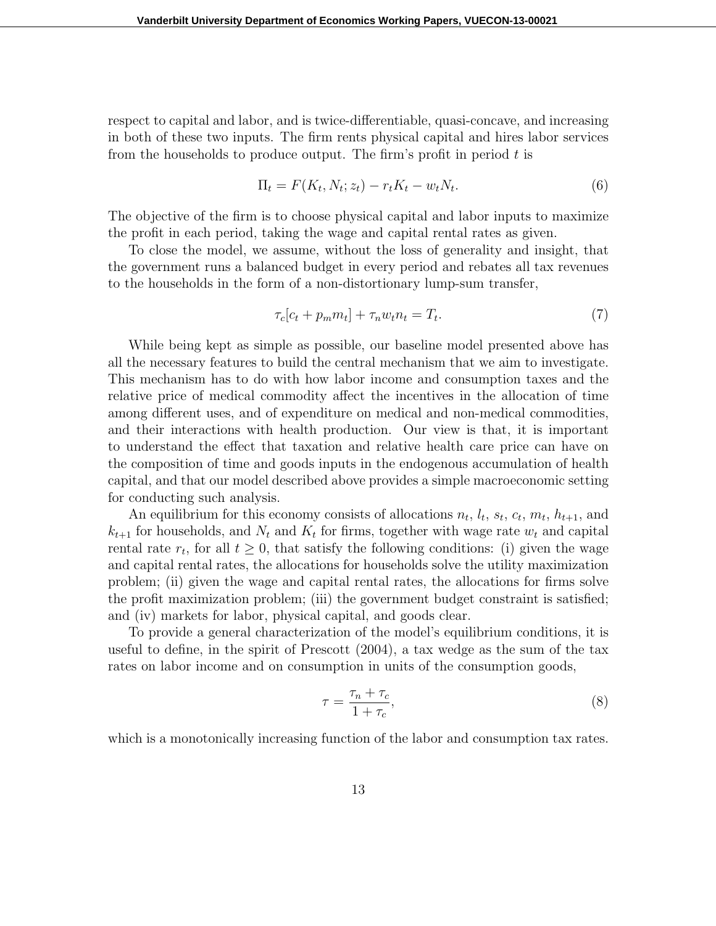respect to capital and labor, and is twice-differentiable, quasi-concave, and increasing in both of these two inputs. The firm rents physical capital and hires labor services from the households to produce output. The firm's profit in period *t* is

$$
\Pi_t = F(K_t, N_t; z_t) - r_t K_t - w_t N_t.
$$
\n
$$
(6)
$$

The objective of the firm is to choose physical capital and labor inputs to maximize the profit in each period, taking the wage and capital rental rates as given.

To close the model, we assume, without the loss of generality and insight, that the government runs a balanced budget in every period and rebates all tax revenues to the households in the form of a non-distortionary lump-sum transfer,

$$
\tau_c[c_t + p_m m_t] + \tau_n w_t n_t = T_t. \tag{7}
$$

While being kept as simple as possible, our baseline model presented above has all the necessary features to build the central mechanism that we aim to investigate. This mechanism has to do with how labor income and consumption taxes and the relative price of medical commodity affect the incentives in the allocation of time among different uses, and of expenditure on medical and non-medical commodities, and their interactions with health production. Our view is that, it is important to understand the effect that taxation and relative health care price can have on the composition of time and goods inputs in the endogenous accumulation of health capital, and that our model described above provides a simple macroeconomic setting for conducting such analysis.

An equilibrium for this economy consists of allocations  $n_t$ ,  $l_t$ ,  $s_t$ ,  $c_t$ ,  $m_t$ ,  $h_{t+1}$ , and  $k_{t+1}$  for households, and  $N_t$  and  $K_t$  for firms, together with wage rate  $w_t$  and capital rental rate  $r_t$ , for all  $t \geq 0$ , that satisfy the following conditions: (i) given the wage and capital rental rates, the allocations for households solve the utility maximization problem; (ii) given the wage and capital rental rates, the allocations for firms solve the profit maximization problem; (iii) the government budget constraint is satisfied; and (iv) markets for labor, physical capital, and goods clear.

To provide a general characterization of the model's equilibrium conditions, it is useful to define, in the spirit of Prescott (2004), a tax wedge as the sum of the tax rates on labor income and on consumption in units of the consumption goods,

$$
\tau = \frac{\tau_n + \tau_c}{1 + \tau_c},\tag{8}
$$

which is a monotonically increasing function of the labor and consumption tax rates.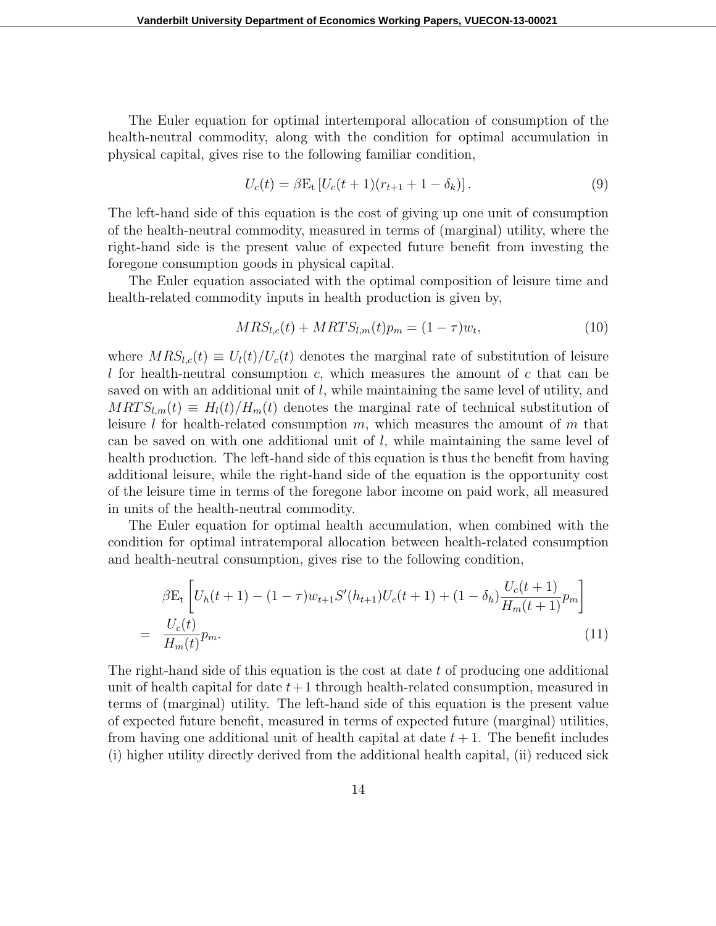The Euler equation for optimal intertemporal allocation of consumption of the health-neutral commodity, along with the condition for optimal accumulation in physical capital, gives rise to the following familiar condition,

$$
U_c(t) = \beta E_t \left[ U_c(t+1)(r_{t+1} + 1 - \delta_k) \right]. \tag{9}
$$

The left-hand side of this equation is the cost of giving up one unit of consumption of the health-neutral commodity, measured in terms of (marginal) utility, where the right-hand side is the present value of expected future benefit from investing the foregone consumption goods in physical capital.

The Euler equation associated with the optimal composition of leisure time and health-related commodity inputs in health production is given by,

$$
MRS_{l,c}(t) + MRTS_{l,m}(t)p_m = (1 - \tau)w_t,
$$
\n(10)

where  $MRS_{l,c}(t) \equiv U_l(t)/U_c(t)$  denotes the marginal rate of substitution of leisure *l* for health-neutral consumption *c*, which measures the amount of *c* that can be saved on with an additional unit of *l*, while maintaining the same level of utility, and  $MRTS<sub>l,m</sub>(t) \equiv H<sub>l</sub>(t)/H<sub>m</sub>(t)$  denotes the marginal rate of technical substitution of leisure *l* for health-related consumption *m*, which measures the amount of *m* that can be saved on with one additional unit of *l*, while maintaining the same level of health production. The left-hand side of this equation is thus the benefit from having additional leisure, while the right-hand side of the equation is the opportunity cost of the leisure time in terms of the foregone labor income on paid work, all measured in units of the health-neutral commodity.

The Euler equation for optimal health accumulation, when combined with the condition for optimal intratemporal allocation between health-related consumption and health-neutral consumption, gives rise to the following condition,

$$
\beta E_t \left[ U_h(t+1) - (1-\tau) w_{t+1} S'(h_{t+1}) U_c(t+1) + (1-\delta_h) \frac{U_c(t+1)}{H_m(t+1)} p_m \right]
$$
  
= 
$$
\frac{U_c(t)}{H_m(t)} p_m.
$$
 (11)

The right-hand side of this equation is the cost at date *t* of producing one additional unit of health capital for date *t*+1 through health-related consumption, measured in terms of (marginal) utility. The left-hand side of this equation is the present value of expected future benefit, measured in terms of expected future (marginal) utilities, from having one additional unit of health capital at date  $t + 1$ . The benefit includes (i) higher utility directly derived from the additional health capital, (ii) reduced sick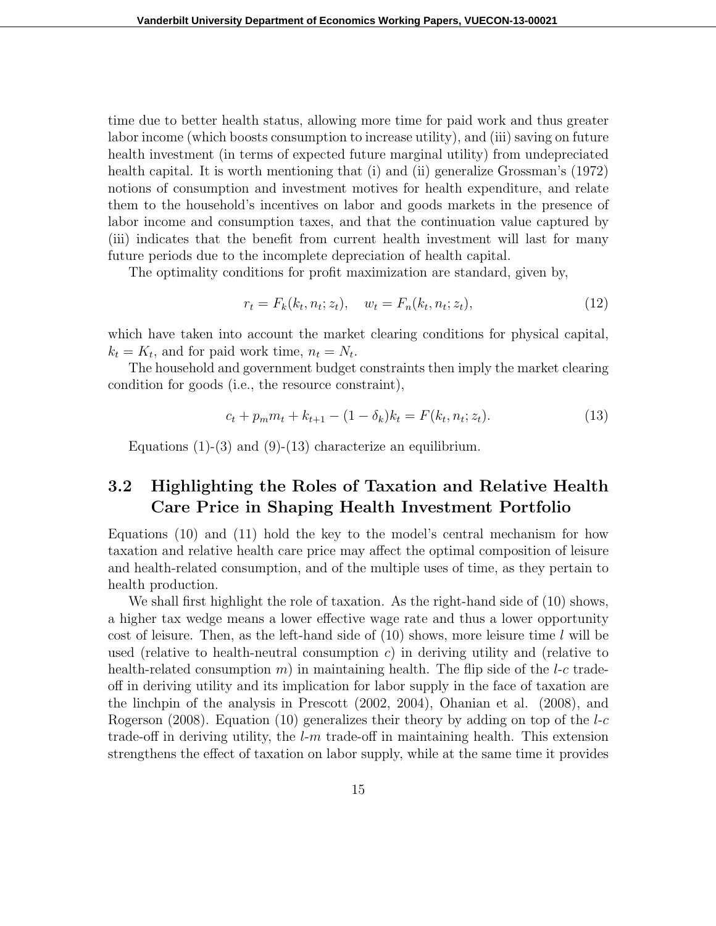time due to better health status, allowing more time for paid work and thus greater labor income (which boosts consumption to increase utility), and (iii) saving on future health investment (in terms of expected future marginal utility) from undepreciated health capital. It is worth mentioning that (i) and (ii) generalize Grossman's (1972) notions of consumption and investment motives for health expenditure, and relate them to the household's incentives on labor and goods markets in the presence of labor income and consumption taxes, and that the continuation value captured by (iii) indicates that the benefit from current health investment will last for many future periods due to the incomplete depreciation of health capital.

The optimality conditions for profit maximization are standard, given by,

$$
r_t = F_k(k_t, n_t; z_t), \quad w_t = F_n(k_t, n_t; z_t), \tag{12}
$$

which have taken into account the market clearing conditions for physical capital,  $k_t = K_t$ , and for paid work time,  $n_t = N_t$ .

The household and government budget constraints then imply the market clearing condition for goods (i.e., the resource constraint),

$$
c_t + p_m m_t + k_{t+1} - (1 - \delta_k) k_t = F(k_t, n_t; z_t).
$$
\n(13)

Equations  $(1)-(3)$  and  $(9)-(13)$  characterize an equilibrium.

### **3.2 Highlighting the Roles of Taxation and Relative Health Care Price in Shaping Health Investment Portfolio**

Equations (10) and (11) hold the key to the model's central mechanism for how taxation and relative health care price may affect the optimal composition of leisure and health-related consumption, and of the multiple uses of time, as they pertain to health production.

We shall first highlight the role of taxation. As the right-hand side of (10) shows, a higher tax wedge means a lower effective wage rate and thus a lower opportunity cost of leisure. Then, as the left-hand side of (10) shows, more leisure time *l* will be used (relative to health-neutral consumption *c*) in deriving utility and (relative to health-related consumption  $m$ ) in maintaining health. The flip side of the *l*-*c* tradeoff in deriving utility and its implication for labor supply in the face of taxation are the linchpin of the analysis in Prescott (2002, 2004), Ohanian et al. (2008), and Rogerson (2008). Equation (10) generalizes their theory by adding on top of the *l*-*c* trade-off in deriving utility, the *l*-*m* trade-off in maintaining health. This extension strengthens the effect of taxation on labor supply, while at the same time it provides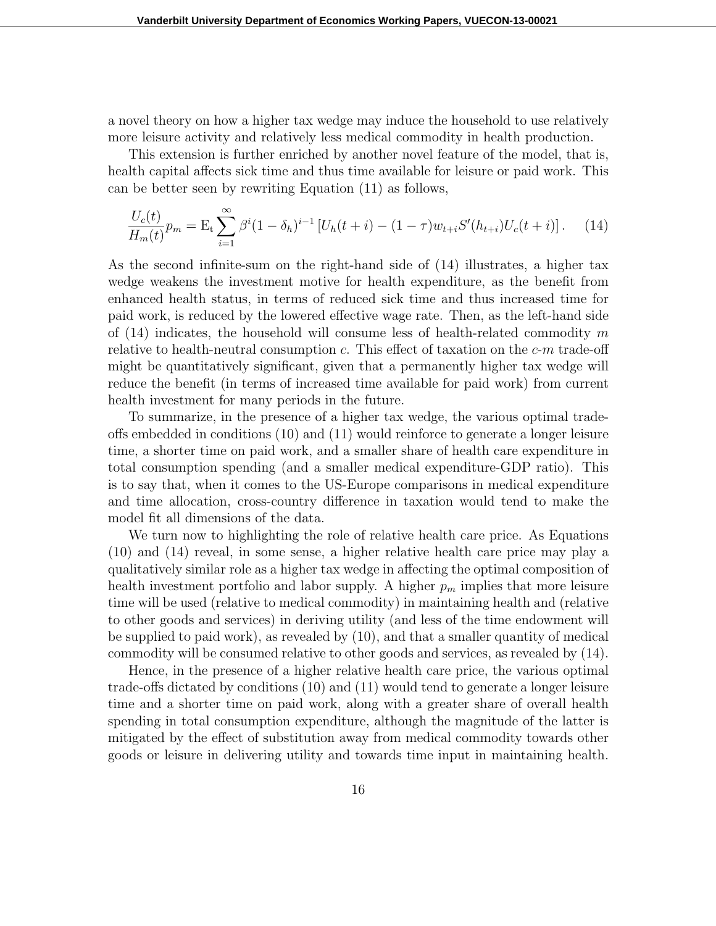a novel theory on how a higher tax wedge may induce the household to use relatively more leisure activity and relatively less medical commodity in health production.

This extension is further enriched by another novel feature of the model, that is, health capital affects sick time and thus time available for leisure or paid work. This can be better seen by rewriting Equation (11) as follows,

$$
\frac{U_c(t)}{H_m(t)}p_m = \mathcal{E}_t \sum_{i=1}^{\infty} \beta^i (1 - \delta_h)^{i-1} \left[ U_h(t+i) - (1 - \tau) w_{t+i} S'(h_{t+i}) U_c(t+i) \right]. \tag{14}
$$

As the second infinite-sum on the right-hand side of (14) illustrates, a higher tax wedge weakens the investment motive for health expenditure, as the benefit from enhanced health status, in terms of reduced sick time and thus increased time for paid work, is reduced by the lowered effective wage rate. Then, as the left-hand side of (14) indicates, the household will consume less of health-related commodity *m* relative to health-neutral consumption *c*. This effect of taxation on the *c*-*m* trade-off might be quantitatively significant, given that a permanently higher tax wedge will reduce the benefit (in terms of increased time available for paid work) from current health investment for many periods in the future.

To summarize, in the presence of a higher tax wedge, the various optimal tradeoffs embedded in conditions (10) and (11) would reinforce to generate a longer leisure time, a shorter time on paid work, and a smaller share of health care expenditure in total consumption spending (and a smaller medical expenditure-GDP ratio). This is to say that, when it comes to the US-Europe comparisons in medical expenditure and time allocation, cross-country difference in taxation would tend to make the model fit all dimensions of the data.

We turn now to highlighting the role of relative health care price. As Equations (10) and (14) reveal, in some sense, a higher relative health care price may play a qualitatively similar role as a higher tax wedge in affecting the optimal composition of health investment portfolio and labor supply. A higher  $p_m$  implies that more leisure time will be used (relative to medical commodity) in maintaining health and (relative to other goods and services) in deriving utility (and less of the time endowment will be supplied to paid work), as revealed by (10), and that a smaller quantity of medical commodity will be consumed relative to other goods and services, as revealed by (14).

Hence, in the presence of a higher relative health care price, the various optimal trade-offs dictated by conditions (10) and (11) would tend to generate a longer leisure time and a shorter time on paid work, along with a greater share of overall health spending in total consumption expenditure, although the magnitude of the latter is mitigated by the effect of substitution away from medical commodity towards other goods or leisure in delivering utility and towards time input in maintaining health.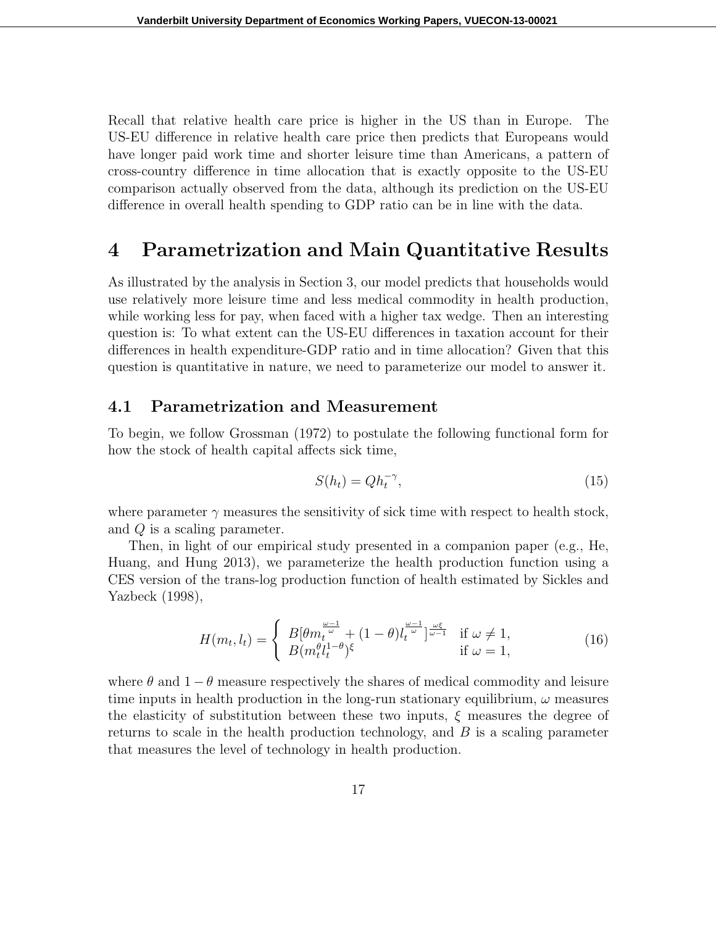Recall that relative health care price is higher in the US than in Europe. The US-EU difference in relative health care price then predicts that Europeans would have longer paid work time and shorter leisure time than Americans, a pattern of cross-country difference in time allocation that is exactly opposite to the US-EU comparison actually observed from the data, although its prediction on the US-EU difference in overall health spending to GDP ratio can be in line with the data.

### **4 Parametrization and Main Quantitative Results**

As illustrated by the analysis in Section 3, our model predicts that households would use relatively more leisure time and less medical commodity in health production, while working less for pay, when faced with a higher tax wedge. Then an interesting question is: To what extent can the US-EU differences in taxation account for their differences in health expenditure-GDP ratio and in time allocation? Given that this question is quantitative in nature, we need to parameterize our model to answer it.

### **4.1 Parametrization and Measurement**

To begin, we follow Grossman (1972) to postulate the following functional form for how the stock of health capital affects sick time,

$$
S(h_t) = Q h_t^{-\gamma},\tag{15}
$$

where parameter  $\gamma$  measures the sensitivity of sick time with respect to health stock, and *Q* is a scaling parameter.

Then, in light of our empirical study presented in a companion paper (e.g., He, Huang, and Hung 2013), we parameterize the health production function using a CES version of the trans-log production function of health estimated by Sickles and Yazbeck (1998),

$$
H(m_t, l_t) = \begin{cases} B[\theta m_t^{\frac{\omega - 1}{\omega}} + (1 - \theta) l_t^{\frac{\omega - 1}{\omega}}]^{\frac{\omega \xi}{\omega - 1}} & \text{if } \omega \neq 1, \\ B(m_t^{\theta} l_t^{1 - \theta})^{\xi} & \text{if } \omega = 1, \end{cases}
$$
(16)

where  $\theta$  and  $1 - \theta$  measure respectively the shares of medical commodity and leisure time inputs in health production in the long-run stationary equilibrium,  $\omega$  measures the elasticity of substitution between these two inputs, *ξ* measures the degree of returns to scale in the health production technology, and *B* is a scaling parameter that measures the level of technology in health production.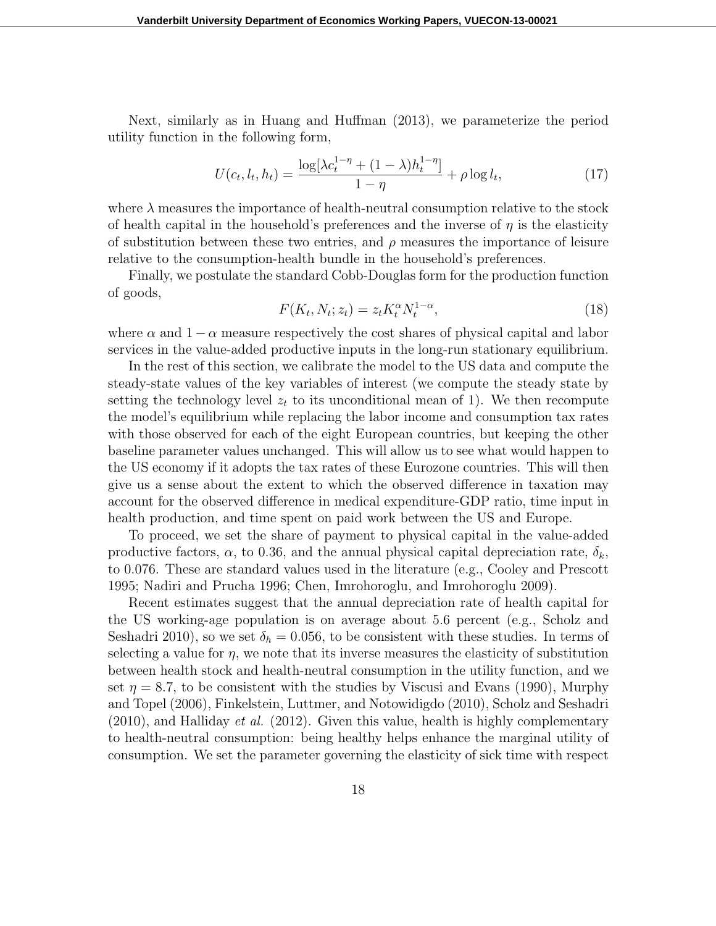Next, similarly as in Huang and Huffman (2013), we parameterize the period utility function in the following form,

$$
U(c_t, l_t, h_t) = \frac{\log[\lambda c_t^{1-\eta} + (1-\lambda)h_t^{1-\eta}]}{1-\eta} + \rho \log l_t,
$$
\n(17)

where  $\lambda$  measures the importance of health-neutral consumption relative to the stock of health capital in the household's preferences and the inverse of  $\eta$  is the elasticity of substitution between these two entries, and  $\rho$  measures the importance of leisure relative to the consumption-health bundle in the household's preferences.

Finally, we postulate the standard Cobb-Douglas form for the production function of goods,

$$
F(K_t, N_t; z_t) = z_t K_t^{\alpha} N_t^{1-\alpha},
$$
\n(18)

where  $\alpha$  and  $1 - \alpha$  measure respectively the cost shares of physical capital and labor services in the value-added productive inputs in the long-run stationary equilibrium.

In the rest of this section, we calibrate the model to the US data and compute the steady-state values of the key variables of interest (we compute the steady state by setting the technology level  $z_t$  to its unconditional mean of 1). We then recompute the model's equilibrium while replacing the labor income and consumption tax rates with those observed for each of the eight European countries, but keeping the other baseline parameter values unchanged. This will allow us to see what would happen to the US economy if it adopts the tax rates of these Eurozone countries. This will then give us a sense about the extent to which the observed difference in taxation may account for the observed difference in medical expenditure-GDP ratio, time input in health production, and time spent on paid work between the US and Europe.

To proceed, we set the share of payment to physical capital in the value-added productive factors,  $\alpha$ , to 0.36, and the annual physical capital depreciation rate,  $\delta_k$ , to 0*.*076. These are standard values used in the literature (e.g., Cooley and Prescott 1995; Nadiri and Prucha 1996; Chen, Imrohoroglu, and Imrohoroglu 2009).

Recent estimates suggest that the annual depreciation rate of health capital for the US working-age population is on average about 5*.*6 percent (e.g., Scholz and Seshadri 2010), so we set  $\delta_h = 0.056$ , to be consistent with these studies. In terms of selecting a value for  $\eta$ , we note that its inverse measures the elasticity of substitution between health stock and health-neutral consumption in the utility function, and we set  $\eta = 8.7$ , to be consistent with the studies by Viscusi and Evans (1990), Murphy and Topel (2006), Finkelstein, Luttmer, and Notowidigdo (2010), Scholz and Seshadri (2010), and Halliday *et al.* (2012). Given this value, health is highly complementary to health-neutral consumption: being healthy helps enhance the marginal utility of consumption. We set the parameter governing the elasticity of sick time with respect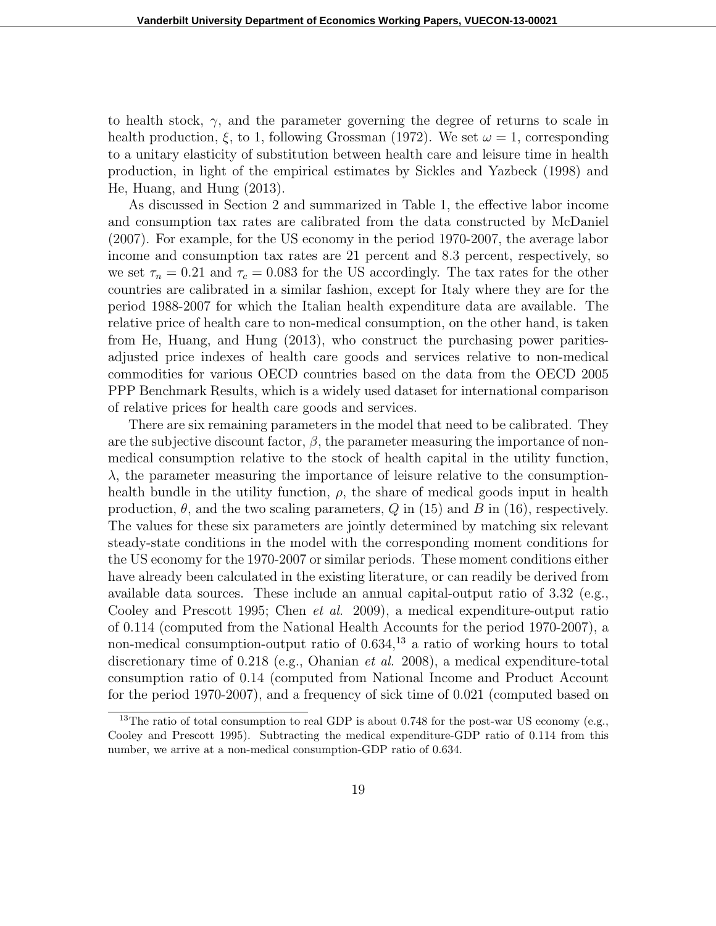to health stock,  $\gamma$ , and the parameter governing the degree of returns to scale in health production,  $\xi$ , to 1, following Grossman (1972). We set  $\omega = 1$ , corresponding to a unitary elasticity of substitution between health care and leisure time in health production, in light of the empirical estimates by Sickles and Yazbeck (1998) and He, Huang, and Hung (2013).

As discussed in Section 2 and summarized in Table 1, the effective labor income and consumption tax rates are calibrated from the data constructed by McDaniel (2007). For example, for the US economy in the period 1970-2007, the average labor income and consumption tax rates are 21 percent and 8*.*3 percent, respectively, so we set  $\tau_n = 0.21$  and  $\tau_c = 0.083$  for the US accordingly. The tax rates for the other countries are calibrated in a similar fashion, except for Italy where they are for the period 1988-2007 for which the Italian health expenditure data are available. The relative price of health care to non-medical consumption, on the other hand, is taken from He, Huang, and Hung (2013), who construct the purchasing power paritiesadjusted price indexes of health care goods and services relative to non-medical commodities for various OECD countries based on the data from the OECD 2005 PPP Benchmark Results, which is a widely used dataset for international comparison of relative prices for health care goods and services.

There are six remaining parameters in the model that need to be calibrated. They are the subjective discount factor,  $\beta$ , the parameter measuring the importance of nonmedical consumption relative to the stock of health capital in the utility function,  $λ$ , the parameter measuring the importance of leisure relative to the consumptionhealth bundle in the utility function,  $\rho$ , the share of medical goods input in health production,  $\theta$ , and the two scaling parameters,  $Q$  in (15) and  $B$  in (16), respectively. The values for these six parameters are jointly determined by matching six relevant steady-state conditions in the model with the corresponding moment conditions for the US economy for the 1970-2007 or similar periods. These moment conditions either have already been calculated in the existing literature, or can readily be derived from available data sources. These include an annual capital-output ratio of 3*.*32 (e.g., Cooley and Prescott 1995; Chen *et al.* 2009), a medical expenditure-output ratio of 0*.*114 (computed from the National Health Accounts for the period 1970-2007), a non-medical consumption-output ratio of  $0.634$ ,<sup>13</sup> a ratio of working hours to total discretionary time of 0*.*218 (e.g., Ohanian *et al.* 2008), a medical expenditure-total consumption ratio of 0*.*14 (computed from National Income and Product Account for the period 1970-2007), and a frequency of sick time of 0*.*021 (computed based on

<sup>&</sup>lt;sup>13</sup>The ratio of total consumption to real GDP is about 0.748 for the post-war US economy (e.g., Cooley and Prescott 1995). Subtracting the medical expenditure-GDP ratio of 0*.*114 from this number, we arrive at a non-medical consumption-GDP ratio of 0*.*634.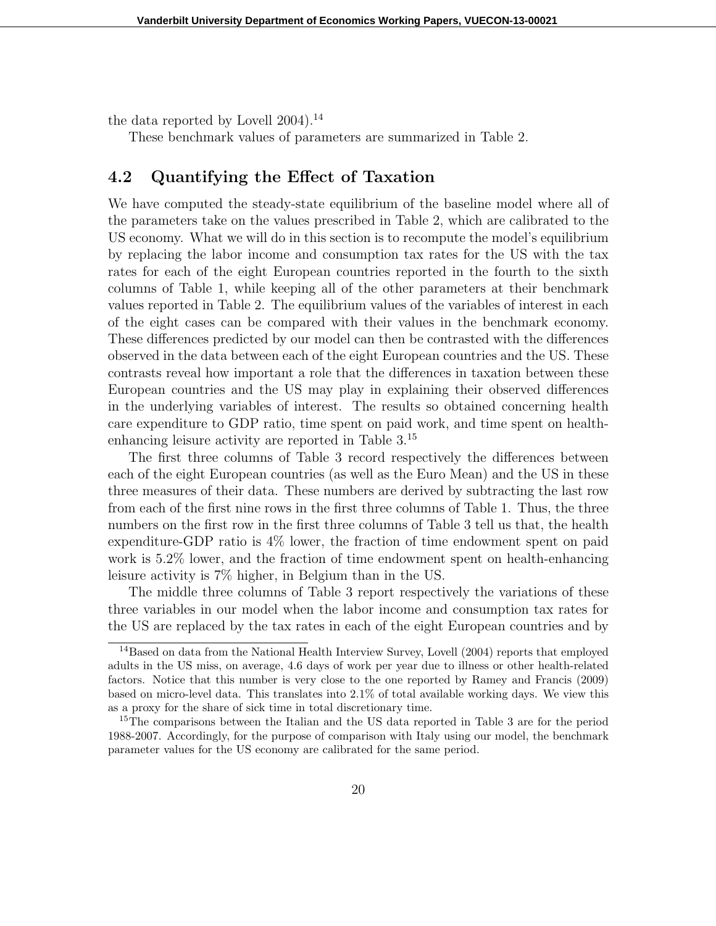the data reported by Lovell 2004).<sup>14</sup>

These benchmark values of parameters are summarized in Table 2.

### **4.2 Quantifying the Effect of Taxation**

We have computed the steady-state equilibrium of the baseline model where all of the parameters take on the values prescribed in Table 2, which are calibrated to the US economy. What we will do in this section is to recompute the model's equilibrium by replacing the labor income and consumption tax rates for the US with the tax rates for each of the eight European countries reported in the fourth to the sixth columns of Table 1, while keeping all of the other parameters at their benchmark values reported in Table 2. The equilibrium values of the variables of interest in each of the eight cases can be compared with their values in the benchmark economy. These differences predicted by our model can then be contrasted with the differences observed in the data between each of the eight European countries and the US. These contrasts reveal how important a role that the differences in taxation between these European countries and the US may play in explaining their observed differences in the underlying variables of interest. The results so obtained concerning health care expenditure to GDP ratio, time spent on paid work, and time spent on healthenhancing leisure activity are reported in Table 3.<sup>15</sup>

The first three columns of Table 3 record respectively the differences between each of the eight European countries (as well as the Euro Mean) and the US in these three measures of their data. These numbers are derived by subtracting the last row from each of the first nine rows in the first three columns of Table 1. Thus, the three numbers on the first row in the first three columns of Table 3 tell us that, the health expenditure-GDP ratio is 4% lower, the fraction of time endowment spent on paid work is 5.2% lower, and the fraction of time endowment spent on health-enhancing leisure activity is 7% higher, in Belgium than in the US.

The middle three columns of Table 3 report respectively the variations of these three variables in our model when the labor income and consumption tax rates for the US are replaced by the tax rates in each of the eight European countries and by

<sup>&</sup>lt;sup>14</sup>Based on data from the National Health Interview Survey, Lovell (2004) reports that employed adults in the US miss, on average, 4.6 days of work per year due to illness or other health-related factors. Notice that this number is very close to the one reported by Ramey and Francis (2009) based on micro-level data. This translates into 2.1% of total available working days. We view this as a proxy for the share of sick time in total discretionary time.

<sup>&</sup>lt;sup>15</sup>The comparisons between the Italian and the US data reported in Table 3 are for the period 1988-2007. Accordingly, for the purpose of comparison with Italy using our model, the benchmark parameter values for the US economy are calibrated for the same period.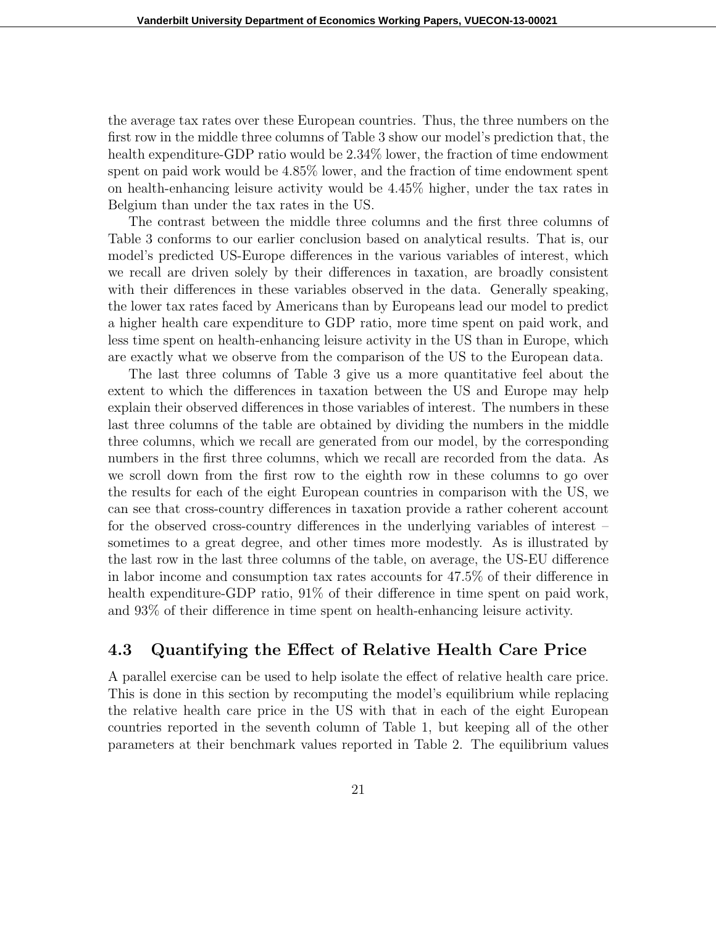the average tax rates over these European countries. Thus, the three numbers on the first row in the middle three columns of Table 3 show our model's prediction that, the health expenditure-GDP ratio would be  $2.34\%$  lower, the fraction of time endowment spent on paid work would be 4.85% lower, and the fraction of time endowment spent on health-enhancing leisure activity would be 4.45% higher, under the tax rates in Belgium than under the tax rates in the US.

The contrast between the middle three columns and the first three columns of Table 3 conforms to our earlier conclusion based on analytical results. That is, our model's predicted US-Europe differences in the various variables of interest, which we recall are driven solely by their differences in taxation, are broadly consistent with their differences in these variables observed in the data. Generally speaking, the lower tax rates faced by Americans than by Europeans lead our model to predict a higher health care expenditure to GDP ratio, more time spent on paid work, and less time spent on health-enhancing leisure activity in the US than in Europe, which are exactly what we observe from the comparison of the US to the European data.

The last three columns of Table 3 give us a more quantitative feel about the extent to which the differences in taxation between the US and Europe may help explain their observed differences in those variables of interest. The numbers in these last three columns of the table are obtained by dividing the numbers in the middle three columns, which we recall are generated from our model, by the corresponding numbers in the first three columns, which we recall are recorded from the data. As we scroll down from the first row to the eighth row in these columns to go over the results for each of the eight European countries in comparison with the US, we can see that cross-country differences in taxation provide a rather coherent account for the observed cross-country differences in the underlying variables of interest – sometimes to a great degree, and other times more modestly. As is illustrated by the last row in the last three columns of the table, on average, the US-EU difference in labor income and consumption tax rates accounts for 47.5% of their difference in health expenditure-GDP ratio,  $91\%$  of their difference in time spent on paid work, and 93% of their difference in time spent on health-enhancing leisure activity.

#### **4.3 Quantifying the Effect of Relative Health Care Price**

A parallel exercise can be used to help isolate the effect of relative health care price. This is done in this section by recomputing the model's equilibrium while replacing the relative health care price in the US with that in each of the eight European countries reported in the seventh column of Table 1, but keeping all of the other parameters at their benchmark values reported in Table 2. The equilibrium values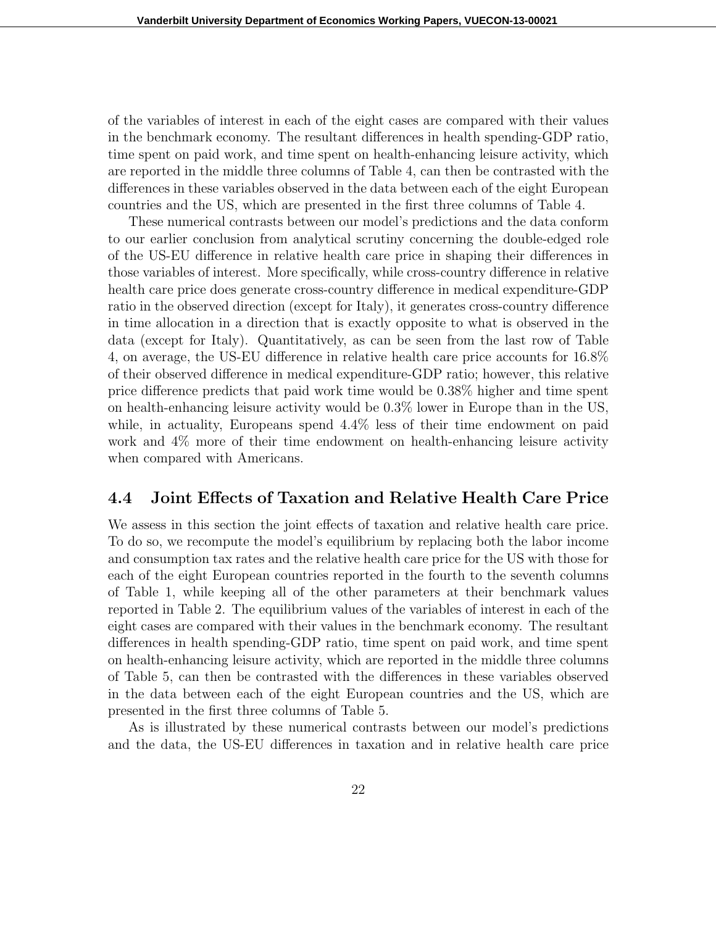of the variables of interest in each of the eight cases are compared with their values in the benchmark economy. The resultant differences in health spending-GDP ratio, time spent on paid work, and time spent on health-enhancing leisure activity, which are reported in the middle three columns of Table 4, can then be contrasted with the differences in these variables observed in the data between each of the eight European countries and the US, which are presented in the first three columns of Table 4.

These numerical contrasts between our model's predictions and the data conform to our earlier conclusion from analytical scrutiny concerning the double-edged role of the US-EU difference in relative health care price in shaping their differences in those variables of interest. More specifically, while cross-country difference in relative health care price does generate cross-country difference in medical expenditure-GDP ratio in the observed direction (except for Italy), it generates cross-country difference in time allocation in a direction that is exactly opposite to what is observed in the data (except for Italy). Quantitatively, as can be seen from the last row of Table 4, on average, the US-EU difference in relative health care price accounts for 16.8% of their observed difference in medical expenditure-GDP ratio; however, this relative price difference predicts that paid work time would be 0.38% higher and time spent on health-enhancing leisure activity would be 0.3% lower in Europe than in the US, while, in actuality, Europeans spend  $4.4\%$  less of their time endowment on paid work and 4% more of their time endowment on health-enhancing leisure activity when compared with Americans.

#### **4.4 Joint Effects of Taxation and Relative Health Care Price**

We assess in this section the joint effects of taxation and relative health care price. To do so, we recompute the model's equilibrium by replacing both the labor income and consumption tax rates and the relative health care price for the US with those for each of the eight European countries reported in the fourth to the seventh columns of Table 1, while keeping all of the other parameters at their benchmark values reported in Table 2. The equilibrium values of the variables of interest in each of the eight cases are compared with their values in the benchmark economy. The resultant differences in health spending-GDP ratio, time spent on paid work, and time spent on health-enhancing leisure activity, which are reported in the middle three columns of Table 5, can then be contrasted with the differences in these variables observed in the data between each of the eight European countries and the US, which are presented in the first three columns of Table 5.

As is illustrated by these numerical contrasts between our model's predictions and the data, the US-EU differences in taxation and in relative health care price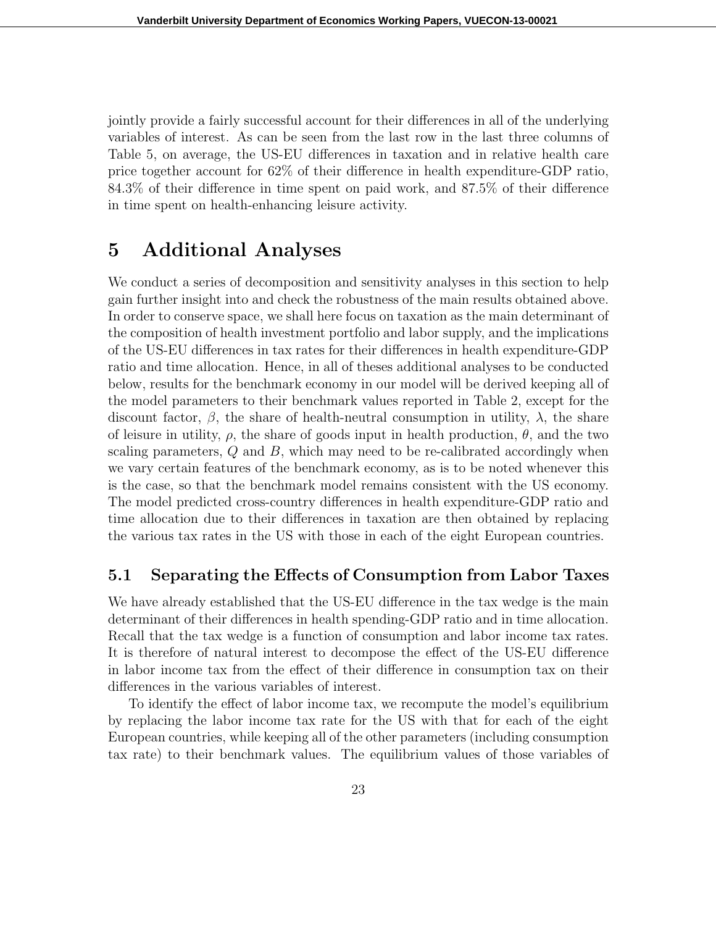jointly provide a fairly successful account for their differences in all of the underlying variables of interest. As can be seen from the last row in the last three columns of Table 5, on average, the US-EU differences in taxation and in relative health care price together account for 62% of their difference in health expenditure-GDP ratio, 84.3% of their difference in time spent on paid work, and 87.5% of their difference in time spent on health-enhancing leisure activity.

## **5 Additional Analyses**

We conduct a series of decomposition and sensitivity analyses in this section to help gain further insight into and check the robustness of the main results obtained above. In order to conserve space, we shall here focus on taxation as the main determinant of the composition of health investment portfolio and labor supply, and the implications of the US-EU differences in tax rates for their differences in health expenditure-GDP ratio and time allocation. Hence, in all of theses additional analyses to be conducted below, results for the benchmark economy in our model will be derived keeping all of the model parameters to their benchmark values reported in Table 2, except for the discount factor,  $\beta$ , the share of health-neutral consumption in utility,  $\lambda$ , the share of leisure in utility,  $\rho$ , the share of goods input in health production,  $\theta$ , and the two scaling parameters, *Q* and *B*, which may need to be re-calibrated accordingly when we vary certain features of the benchmark economy, as is to be noted whenever this is the case, so that the benchmark model remains consistent with the US economy. The model predicted cross-country differences in health expenditure-GDP ratio and time allocation due to their differences in taxation are then obtained by replacing the various tax rates in the US with those in each of the eight European countries.

### **5.1 Separating the Effects of Consumption from Labor Taxes**

We have already established that the US-EU difference in the tax wedge is the main determinant of their differences in health spending-GDP ratio and in time allocation. Recall that the tax wedge is a function of consumption and labor income tax rates. It is therefore of natural interest to decompose the effect of the US-EU difference in labor income tax from the effect of their difference in consumption tax on their differences in the various variables of interest.

To identify the effect of labor income tax, we recompute the model's equilibrium by replacing the labor income tax rate for the US with that for each of the eight European countries, while keeping all of the other parameters (including consumption tax rate) to their benchmark values. The equilibrium values of those variables of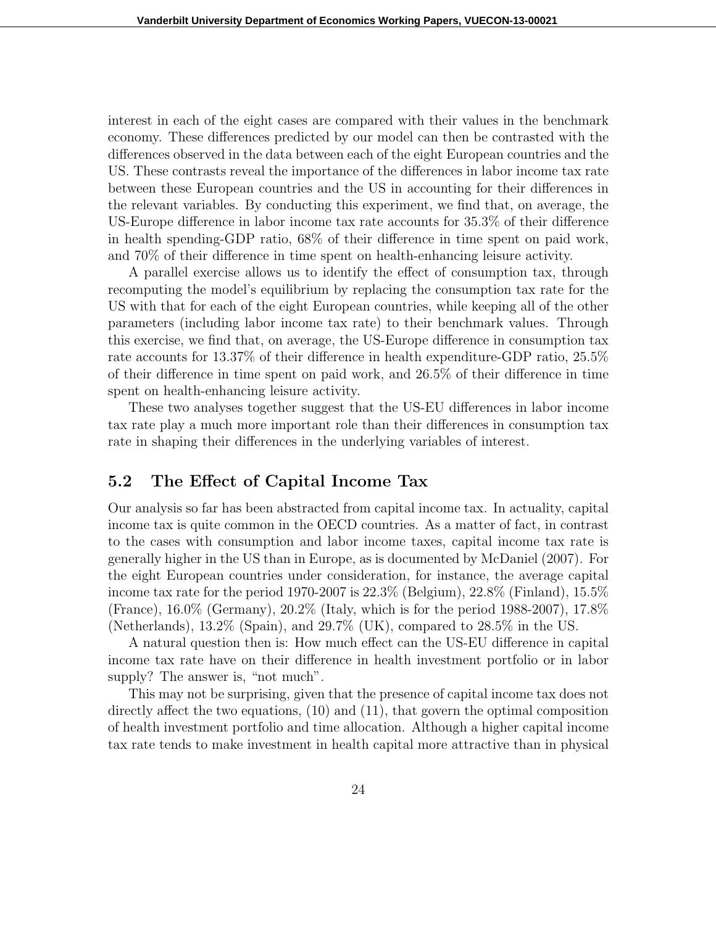interest in each of the eight cases are compared with their values in the benchmark economy. These differences predicted by our model can then be contrasted with the differences observed in the data between each of the eight European countries and the US. These contrasts reveal the importance of the differences in labor income tax rate between these European countries and the US in accounting for their differences in the relevant variables. By conducting this experiment, we find that, on average, the US-Europe difference in labor income tax rate accounts for 35.3% of their difference in health spending-GDP ratio, 68% of their difference in time spent on paid work, and 70% of their difference in time spent on health-enhancing leisure activity.

A parallel exercise allows us to identify the effect of consumption tax, through recomputing the model's equilibrium by replacing the consumption tax rate for the US with that for each of the eight European countries, while keeping all of the other parameters (including labor income tax rate) to their benchmark values. Through this exercise, we find that, on average, the US-Europe difference in consumption tax rate accounts for 13.37% of their difference in health expenditure-GDP ratio, 25.5% of their difference in time spent on paid work, and 26.5% of their difference in time spent on health-enhancing leisure activity.

These two analyses together suggest that the US-EU differences in labor income tax rate play a much more important role than their differences in consumption tax rate in shaping their differences in the underlying variables of interest.

#### **5.2 The Effect of Capital Income Tax**

Our analysis so far has been abstracted from capital income tax. In actuality, capital income tax is quite common in the OECD countries. As a matter of fact, in contrast to the cases with consumption and labor income taxes, capital income tax rate is generally higher in the US than in Europe, as is documented by McDaniel (2007). For the eight European countries under consideration, for instance, the average capital income tax rate for the period 1970-2007 is  $22.3\%$  (Belgium),  $22.8\%$  (Finland),  $15.5\%$ (France), 16.0% (Germany), 20.2% (Italy, which is for the period 1988-2007), 17.8% (Netherlands), 13.2% (Spain), and 29.7% (UK), compared to 28.5% in the US.

A natural question then is: How much effect can the US-EU difference in capital income tax rate have on their difference in health investment portfolio or in labor supply? The answer is, "not much".

This may not be surprising, given that the presence of capital income tax does not directly affect the two equations, (10) and (11), that govern the optimal composition of health investment portfolio and time allocation. Although a higher capital income tax rate tends to make investment in health capital more attractive than in physical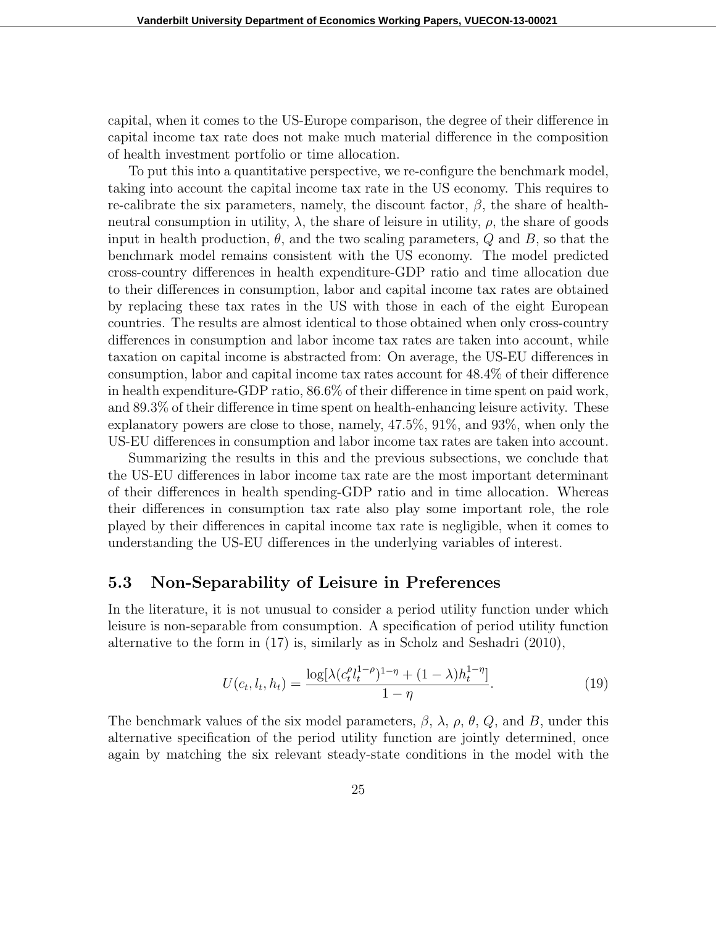capital, when it comes to the US-Europe comparison, the degree of their difference in capital income tax rate does not make much material difference in the composition of health investment portfolio or time allocation.

To put this into a quantitative perspective, we re-configure the benchmark model, taking into account the capital income tax rate in the US economy. This requires to re-calibrate the six parameters, namely, the discount factor,  $\beta$ , the share of healthneutral consumption in utility,  $\lambda$ , the share of leisure in utility,  $\rho$ , the share of goods input in health production,  $\theta$ , and the two scaling parameters,  $Q$  and  $B$ , so that the benchmark model remains consistent with the US economy. The model predicted cross-country differences in health expenditure-GDP ratio and time allocation due to their differences in consumption, labor and capital income tax rates are obtained by replacing these tax rates in the US with those in each of the eight European countries. The results are almost identical to those obtained when only cross-country differences in consumption and labor income tax rates are taken into account, while taxation on capital income is abstracted from: On average, the US-EU differences in consumption, labor and capital income tax rates account for 48.4% of their difference in health expenditure-GDP ratio, 86.6% of their difference in time spent on paid work, and 89.3% of their difference in time spent on health-enhancing leisure activity. These explanatory powers are close to those, namely, 47.5%, 91%, and 93%, when only the US-EU differences in consumption and labor income tax rates are taken into account.

Summarizing the results in this and the previous subsections, we conclude that the US-EU differences in labor income tax rate are the most important determinant of their differences in health spending-GDP ratio and in time allocation. Whereas their differences in consumption tax rate also play some important role, the role played by their differences in capital income tax rate is negligible, when it comes to understanding the US-EU differences in the underlying variables of interest.

#### **5.3 Non-Separability of Leisure in Preferences**

In the literature, it is not unusual to consider a period utility function under which leisure is non-separable from consumption. A specification of period utility function alternative to the form in (17) is, similarly as in Scholz and Seshadri (2010),

$$
U(c_t, l_t, h_t) = \frac{\log[\lambda(c_t^{\rho}l_t^{1-\rho})^{1-\eta} + (1-\lambda)h_t^{1-\eta}]}{1-\eta}.
$$
\n(19)

The benchmark values of the six model parameters, *β*, *λ*, *ρ*, *θ*, *Q*, and *B*, under this alternative specification of the period utility function are jointly determined, once again by matching the six relevant steady-state conditions in the model with the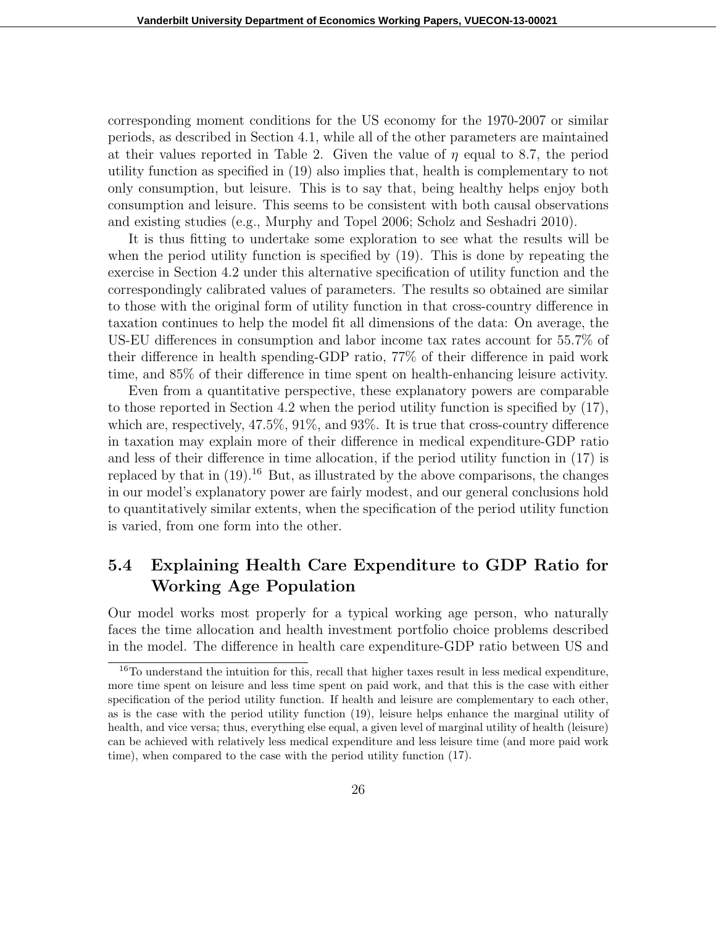corresponding moment conditions for the US economy for the 1970-2007 or similar periods, as described in Section 4.1, while all of the other parameters are maintained at their values reported in Table 2. Given the value of  $\eta$  equal to 8.7, the period utility function as specified in (19) also implies that, health is complementary to not only consumption, but leisure. This is to say that, being healthy helps enjoy both consumption and leisure. This seems to be consistent with both causal observations and existing studies (e.g., Murphy and Topel 2006; Scholz and Seshadri 2010).

It is thus fitting to undertake some exploration to see what the results will be when the period utility function is specified by (19). This is done by repeating the exercise in Section 4.2 under this alternative specification of utility function and the correspondingly calibrated values of parameters. The results so obtained are similar to those with the original form of utility function in that cross-country difference in taxation continues to help the model fit all dimensions of the data: On average, the US-EU differences in consumption and labor income tax rates account for 55.7% of their difference in health spending-GDP ratio, 77% of their difference in paid work time, and 85% of their difference in time spent on health-enhancing leisure activity.

Even from a quantitative perspective, these explanatory powers are comparable to those reported in Section 4.2 when the period utility function is specified by (17), which are, respectively, 47.5%, 91%, and 93%. It is true that cross-country difference in taxation may explain more of their difference in medical expenditure-GDP ratio and less of their difference in time allocation, if the period utility function in (17) is replaced by that in  $(19)^{16}$  But, as illustrated by the above comparisons, the changes in our model's explanatory power are fairly modest, and our general conclusions hold to quantitatively similar extents, when the specification of the period utility function is varied, from one form into the other.

### **5.4 Explaining Health Care Expenditure to GDP Ratio for Working Age Population**

Our model works most properly for a typical working age person, who naturally faces the time allocation and health investment portfolio choice problems described in the model. The difference in health care expenditure-GDP ratio between US and

<sup>&</sup>lt;sup>16</sup>To understand the intuition for this, recall that higher taxes result in less medical expenditure, more time spent on leisure and less time spent on paid work, and that this is the case with either specification of the period utility function. If health and leisure are complementary to each other, as is the case with the period utility function (19), leisure helps enhance the marginal utility of health, and vice versa; thus, everything else equal, a given level of marginal utility of health (leisure) can be achieved with relatively less medical expenditure and less leisure time (and more paid work time), when compared to the case with the period utility function (17).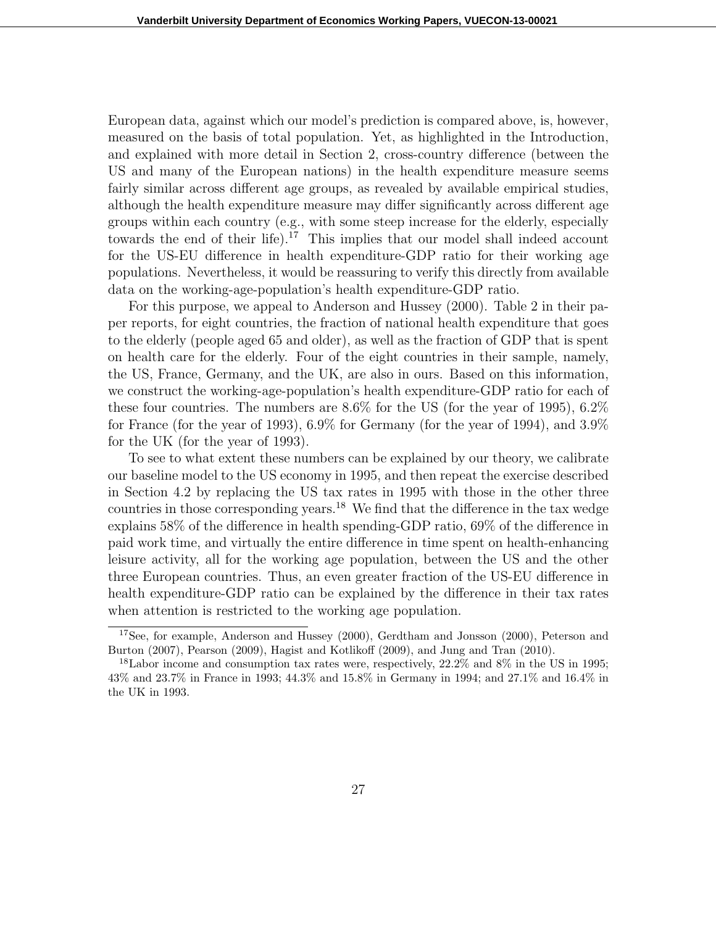European data, against which our model's prediction is compared above, is, however, measured on the basis of total population. Yet, as highlighted in the Introduction, and explained with more detail in Section 2, cross-country difference (between the US and many of the European nations) in the health expenditure measure seems fairly similar across different age groups, as revealed by available empirical studies, although the health expenditure measure may differ significantly across different age groups within each country (e.g., with some steep increase for the elderly, especially towards the end of their life).<sup>17</sup> This implies that our model shall indeed account for the US-EU difference in health expenditure-GDP ratio for their working age populations. Nevertheless, it would be reassuring to verify this directly from available data on the working-age-population's health expenditure-GDP ratio.

For this purpose, we appeal to Anderson and Hussey (2000). Table 2 in their paper reports, for eight countries, the fraction of national health expenditure that goes to the elderly (people aged 65 and older), as well as the fraction of GDP that is spent on health care for the elderly. Four of the eight countries in their sample, namely, the US, France, Germany, and the UK, are also in ours. Based on this information, we construct the working-age-population's health expenditure-GDP ratio for each of these four countries. The numbers are 8.6% for the US (for the year of 1995), 6.2% for France (for the year of 1993), 6.9% for Germany (for the year of 1994), and 3.9% for the UK (for the year of 1993).

To see to what extent these numbers can be explained by our theory, we calibrate our baseline model to the US economy in 1995, and then repeat the exercise described in Section 4.2 by replacing the US tax rates in 1995 with those in the other three countries in those corresponding years.<sup>18</sup> We find that the difference in the tax wedge explains 58% of the difference in health spending-GDP ratio, 69% of the difference in paid work time, and virtually the entire difference in time spent on health-enhancing leisure activity, all for the working age population, between the US and the other three European countries. Thus, an even greater fraction of the US-EU difference in health expenditure-GDP ratio can be explained by the difference in their tax rates when attention is restricted to the working age population.

<sup>17</sup>See, for example, Anderson and Hussey (2000), Gerdtham and Jonsson (2000), Peterson and Burton (2007), Pearson (2009), Hagist and Kotlikoff (2009), and Jung and Tran (2010).

<sup>18</sup>Labor income and consumption tax rates were, respectively, 22.2% and 8% in the US in 1995; 43% and 23.7% in France in 1993; 44.3% and 15.8% in Germany in 1994; and 27.1% and 16.4% in the UK in 1993.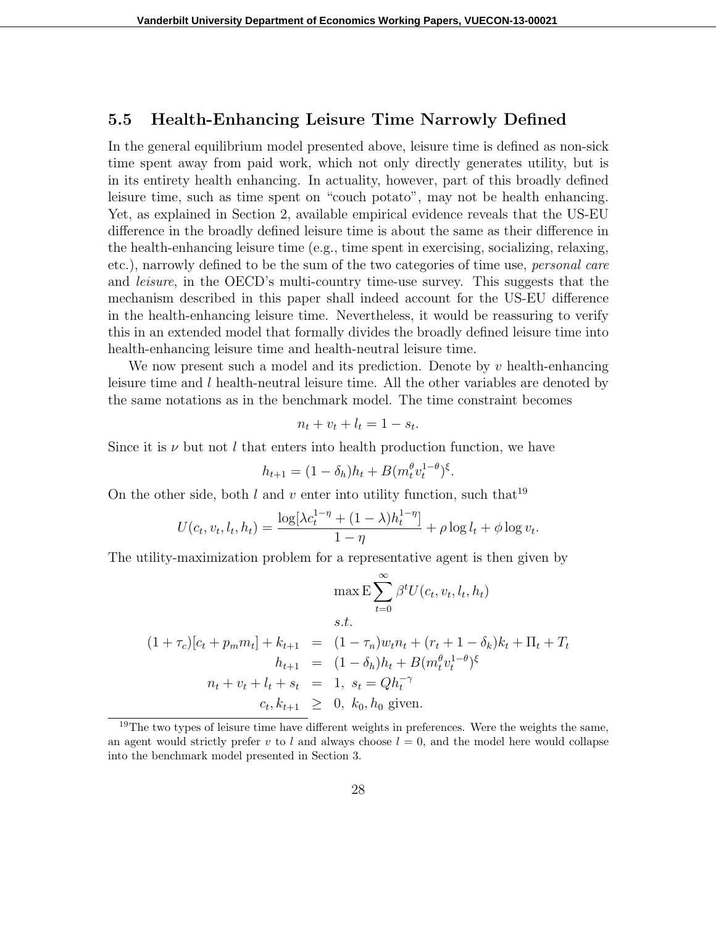#### **5.5 Health-Enhancing Leisure Time Narrowly Defined**

In the general equilibrium model presented above, leisure time is defined as non-sick time spent away from paid work, which not only directly generates utility, but is in its entirety health enhancing. In actuality, however, part of this broadly defined leisure time, such as time spent on "couch potato", may not be health enhancing. Yet, as explained in Section 2, available empirical evidence reveals that the US-EU difference in the broadly defined leisure time is about the same as their difference in the health-enhancing leisure time (e.g., time spent in exercising, socializing, relaxing, etc.), narrowly defined to be the sum of the two categories of time use, *personal care* and *leisure*, in the OECD's multi-country time-use survey. This suggests that the mechanism described in this paper shall indeed account for the US-EU difference in the health-enhancing leisure time. Nevertheless, it would be reassuring to verify this in an extended model that formally divides the broadly defined leisure time into health-enhancing leisure time and health-neutral leisure time.

We now present such a model and its prediction. Denote by *v* health-enhancing leisure time and *l* health-neutral leisure time. All the other variables are denoted by the same notations as in the benchmark model. The time constraint becomes

$$
n_t + v_t + l_t = 1 - s_t.
$$

Since it is  $\nu$  but not *l* that enters into health production function, we have

$$
h_{t+1} = (1 - \delta_h)h_t + B(m_t^{\theta}v_t^{1-\theta})^{\xi}.
$$

On the other side, both  $l$  and  $v$  enter into utility function, such that<sup>19</sup>

$$
U(c_t, v_t, l_t, h_t) = \frac{\log[\lambda c_t^{1-\eta} + (1-\lambda)h_t^{1-\eta}]}{1-\eta} + \rho \log l_t + \phi \log v_t.
$$

The utility-maximization problem for a representative agent is then given by

$$
\max \mathbf{E} \sum_{t=0}^{\infty} \beta^t U(c_t, v_t, l_t, h_t)
$$
  
s.t.  

$$
(1 + \tau_c)[c_t + p_m m_t] + k_{t+1} = (1 - \tau_n)w_t n_t + (r_t + 1 - \delta_k)k_t + \Pi_t + T_t
$$
  

$$
h_{t+1} = (1 - \delta_h)h_t + B(m_t^{\theta} v_t^{1-\theta})^{\xi}
$$
  

$$
n_t + v_t + l_t + s_t = 1, s_t = Qh_t^{-\gamma}
$$
  

$$
c_t, k_{t+1} \geq 0, k_0, h_0 \text{ given.}
$$

 $19$ The two types of leisure time have different weights in preferences. Were the weights the same, an agent would strictly prefer *v* to *l* and always choose  $l = 0$ , and the model here would collapse into the benchmark model presented in Section 3.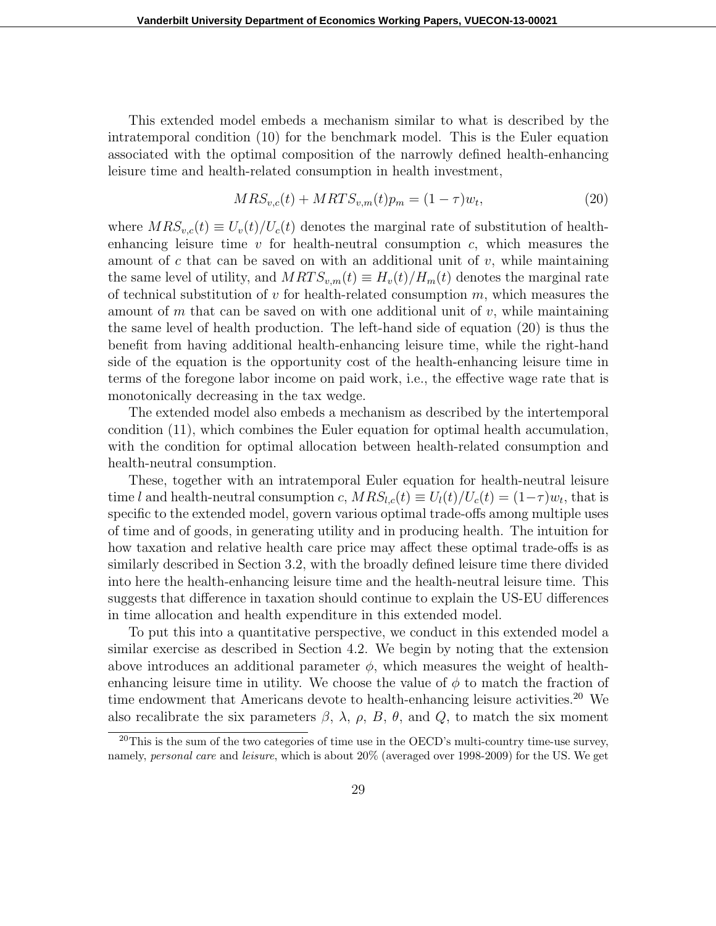This extended model embeds a mechanism similar to what is described by the intratemporal condition (10) for the benchmark model. This is the Euler equation associated with the optimal composition of the narrowly defined health-enhancing leisure time and health-related consumption in health investment,

$$
MRS_{v,c}(t) + MRTS_{v,m}(t)p_m = (1 - \tau)w_t,
$$
\n(20)

where  $MRS_{v,c}(t) \equiv U_v(t)/U_c(t)$  denotes the marginal rate of substitution of healthenhancing leisure time *v* for health-neutral consumption *c*, which measures the amount of  $c$  that can be saved on with an additional unit of  $v$ , while maintaining the same level of utility, and  $MRTS_{v,m}(t) \equiv H_v(t)/H_m(t)$  denotes the marginal rate of technical substitution of *v* for health-related consumption *m*, which measures the amount of *m* that can be saved on with one additional unit of *v*, while maintaining the same level of health production. The left-hand side of equation (20) is thus the benefit from having additional health-enhancing leisure time, while the right-hand side of the equation is the opportunity cost of the health-enhancing leisure time in terms of the foregone labor income on paid work, i.e., the effective wage rate that is monotonically decreasing in the tax wedge.

The extended model also embeds a mechanism as described by the intertemporal condition (11), which combines the Euler equation for optimal health accumulation, with the condition for optimal allocation between health-related consumption and health-neutral consumption.

These, together with an intratemporal Euler equation for health-neutral leisure time *l* and health-neutral consumption *c*,  $MRS_{l,c}(t) \equiv U_l(t)/U_c(t) = (1-\tau)w_t$ , that is specific to the extended model, govern various optimal trade-offs among multiple uses of time and of goods, in generating utility and in producing health. The intuition for how taxation and relative health care price may affect these optimal trade-offs is as similarly described in Section 3.2, with the broadly defined leisure time there divided into here the health-enhancing leisure time and the health-neutral leisure time. This suggests that difference in taxation should continue to explain the US-EU differences in time allocation and health expenditure in this extended model.

To put this into a quantitative perspective, we conduct in this extended model a similar exercise as described in Section 4.2. We begin by noting that the extension above introduces an additional parameter  $\phi$ , which measures the weight of healthenhancing leisure time in utility. We choose the value of  $\phi$  to match the fraction of time endowment that Americans devote to health-enhancing leisure activities.<sup>20</sup> We also recalibrate the six parameters  $\beta$ ,  $\lambda$ ,  $\rho$ ,  $B$ ,  $\theta$ , and  $Q$ , to match the six moment

 $^{20}$ This is the sum of the two categories of time use in the OECD's multi-country time-use survey, namely, *personal care* and *leisure*, which is about 20% (averaged over 1998-2009) for the US. We get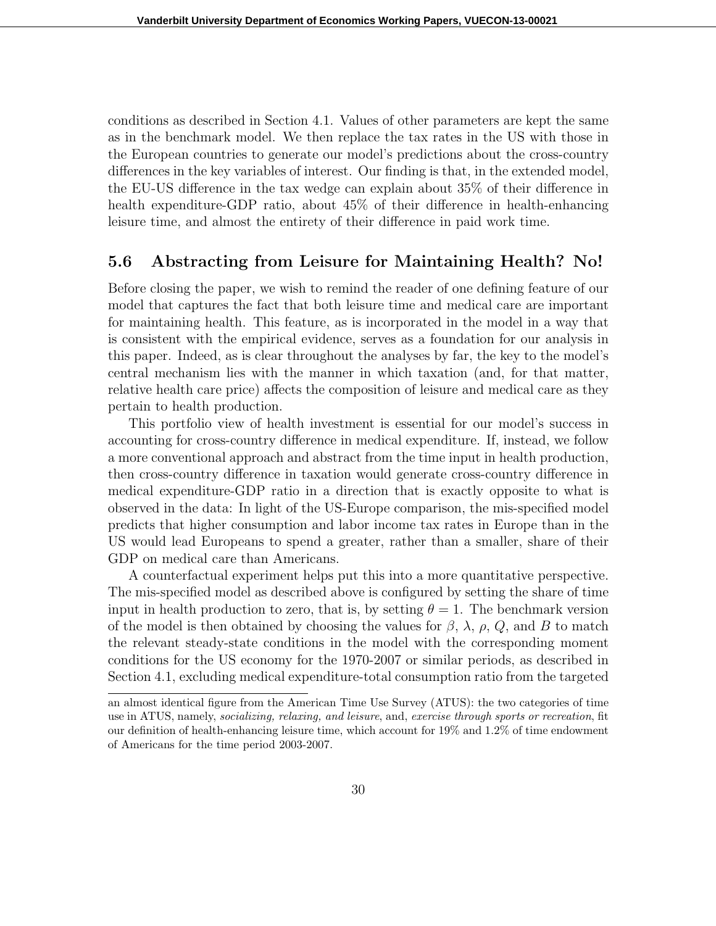conditions as described in Section 4.1. Values of other parameters are kept the same as in the benchmark model. We then replace the tax rates in the US with those in the European countries to generate our model's predictions about the cross-country differences in the key variables of interest. Our finding is that, in the extended model, the EU-US difference in the tax wedge can explain about 35% of their difference in health expenditure-GDP ratio, about  $45\%$  of their difference in health-enhancing leisure time, and almost the entirety of their difference in paid work time.

#### **5.6 Abstracting from Leisure for Maintaining Health? No!**

Before closing the paper, we wish to remind the reader of one defining feature of our model that captures the fact that both leisure time and medical care are important for maintaining health. This feature, as is incorporated in the model in a way that is consistent with the empirical evidence, serves as a foundation for our analysis in this paper. Indeed, as is clear throughout the analyses by far, the key to the model's central mechanism lies with the manner in which taxation (and, for that matter, relative health care price) affects the composition of leisure and medical care as they pertain to health production.

This portfolio view of health investment is essential for our model's success in accounting for cross-country difference in medical expenditure. If, instead, we follow a more conventional approach and abstract from the time input in health production, then cross-country difference in taxation would generate cross-country difference in medical expenditure-GDP ratio in a direction that is exactly opposite to what is observed in the data: In light of the US-Europe comparison, the mis-specified model predicts that higher consumption and labor income tax rates in Europe than in the US would lead Europeans to spend a greater, rather than a smaller, share of their GDP on medical care than Americans.

A counterfactual experiment helps put this into a more quantitative perspective. The mis-specified model as described above is configured by setting the share of time input in health production to zero, that is, by setting  $\theta = 1$ . The benchmark version of the model is then obtained by choosing the values for  $\beta$ ,  $\lambda$ ,  $\rho$ ,  $Q$ , and *B* to match the relevant steady-state conditions in the model with the corresponding moment conditions for the US economy for the 1970-2007 or similar periods, as described in Section 4.1, excluding medical expenditure-total consumption ratio from the targeted

an almost identical figure from the American Time Use Survey (ATUS): the two categories of time use in ATUS, namely, *socializing, relaxing, and leisure*, and, *exercise through sports or recreation*, fit our definition of health-enhancing leisure time, which account for 19% and 1.2% of time endowment of Americans for the time period 2003-2007.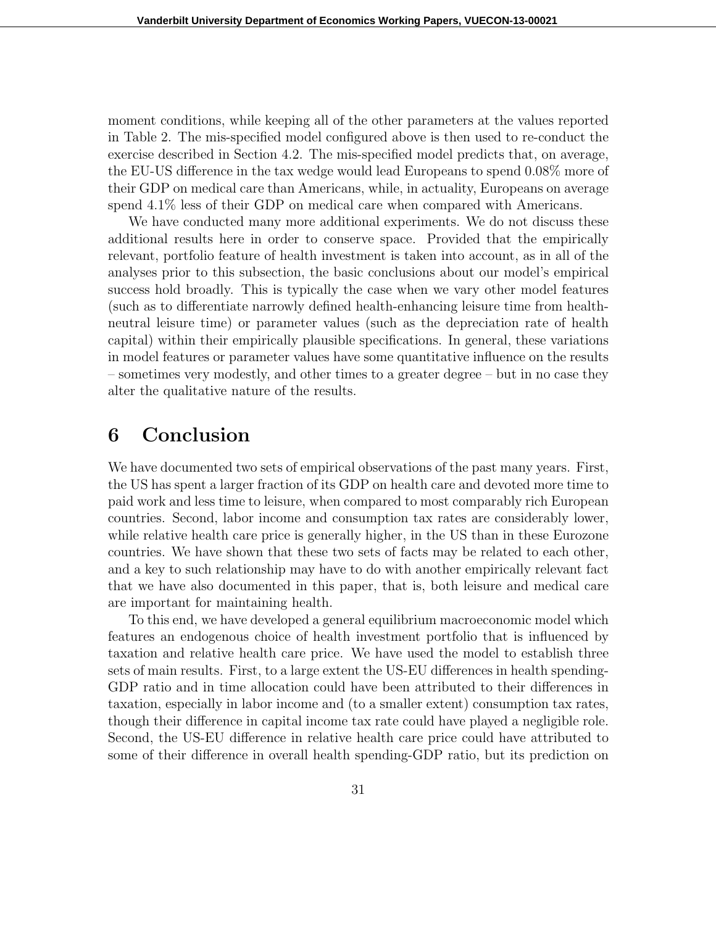moment conditions, while keeping all of the other parameters at the values reported in Table 2. The mis-specified model configured above is then used to re-conduct the exercise described in Section 4.2. The mis-specified model predicts that, on average, the EU-US difference in the tax wedge would lead Europeans to spend 0.08% more of their GDP on medical care than Americans, while, in actuality, Europeans on average spend  $4.1\%$  less of their GDP on medical care when compared with Americans.

We have conducted many more additional experiments. We do not discuss these additional results here in order to conserve space. Provided that the empirically relevant, portfolio feature of health investment is taken into account, as in all of the analyses prior to this subsection, the basic conclusions about our model's empirical success hold broadly. This is typically the case when we vary other model features (such as to differentiate narrowly defined health-enhancing leisure time from healthneutral leisure time) or parameter values (such as the depreciation rate of health capital) within their empirically plausible specifications. In general, these variations in model features or parameter values have some quantitative influence on the results – sometimes very modestly, and other times to a greater degree – but in no case they alter the qualitative nature of the results.

### **6 Conclusion**

We have documented two sets of empirical observations of the past many years. First, the US has spent a larger fraction of its GDP on health care and devoted more time to paid work and less time to leisure, when compared to most comparably rich European countries. Second, labor income and consumption tax rates are considerably lower, while relative health care price is generally higher, in the US than in these Eurozone countries. We have shown that these two sets of facts may be related to each other, and a key to such relationship may have to do with another empirically relevant fact that we have also documented in this paper, that is, both leisure and medical care are important for maintaining health.

To this end, we have developed a general equilibrium macroeconomic model which features an endogenous choice of health investment portfolio that is influenced by taxation and relative health care price. We have used the model to establish three sets of main results. First, to a large extent the US-EU differences in health spending-GDP ratio and in time allocation could have been attributed to their differences in taxation, especially in labor income and (to a smaller extent) consumption tax rates, though their difference in capital income tax rate could have played a negligible role. Second, the US-EU difference in relative health care price could have attributed to some of their difference in overall health spending-GDP ratio, but its prediction on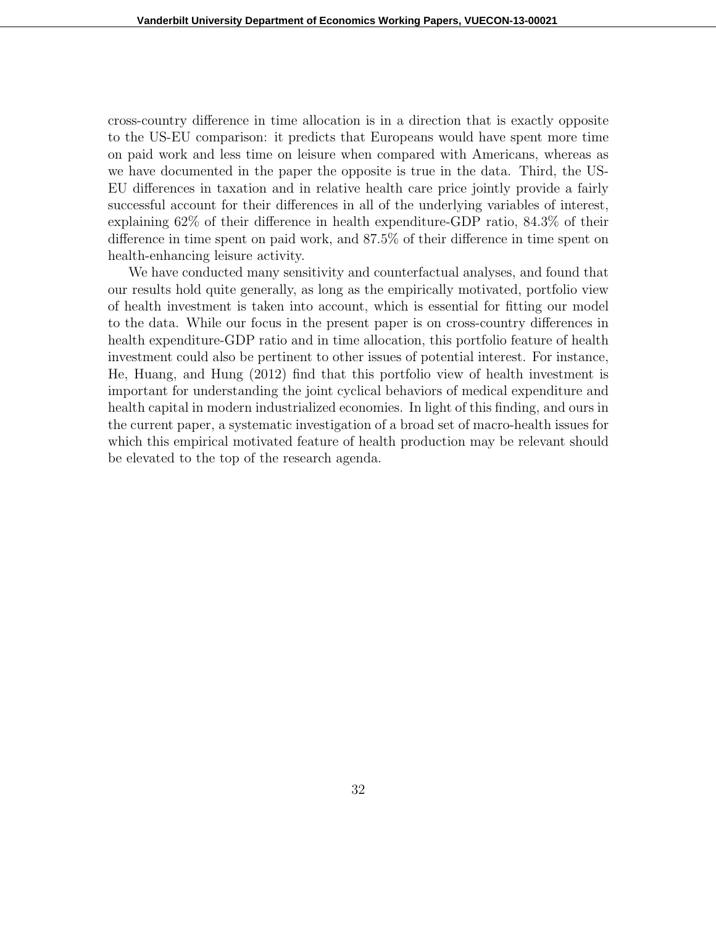cross-country difference in time allocation is in a direction that is exactly opposite to the US-EU comparison: it predicts that Europeans would have spent more time on paid work and less time on leisure when compared with Americans, whereas as we have documented in the paper the opposite is true in the data. Third, the US-EU differences in taxation and in relative health care price jointly provide a fairly successful account for their differences in all of the underlying variables of interest, explaining 62% of their difference in health expenditure-GDP ratio, 84.3% of their difference in time spent on paid work, and 87.5% of their difference in time spent on health-enhancing leisure activity.

We have conducted many sensitivity and counterfactual analyses, and found that our results hold quite generally, as long as the empirically motivated, portfolio view of health investment is taken into account, which is essential for fitting our model to the data. While our focus in the present paper is on cross-country differences in health expenditure-GDP ratio and in time allocation, this portfolio feature of health investment could also be pertinent to other issues of potential interest. For instance, He, Huang, and Hung (2012) find that this portfolio view of health investment is important for understanding the joint cyclical behaviors of medical expenditure and health capital in modern industrialized economies. In light of this finding, and ours in the current paper, a systematic investigation of a broad set of macro-health issues for which this empirical motivated feature of health production may be relevant should be elevated to the top of the research agenda.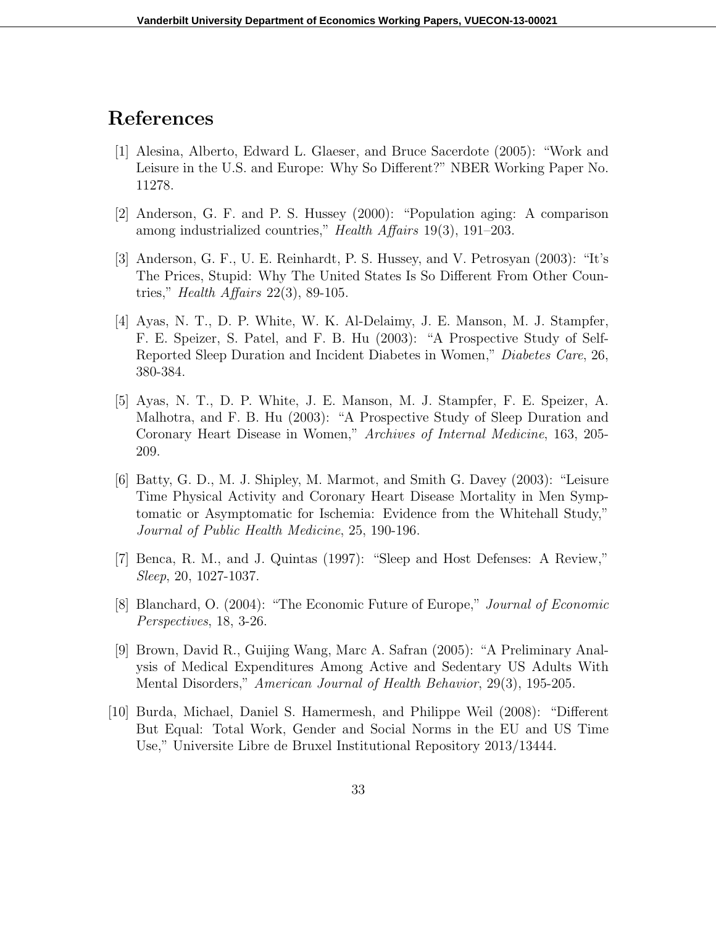### **References**

- [1] Alesina, Alberto, Edward L. Glaeser, and Bruce Sacerdote (2005): "Work and Leisure in the U.S. and Europe: Why So Different?" NBER Working Paper No. 11278.
- [2] Anderson, G. F. and P. S. Hussey (2000): "Population aging: A comparison among industrialized countries," *Health Affairs* 19(3), 191–203.
- [3] Anderson, G. F., U. E. Reinhardt, P. S. Hussey, and V. Petrosyan (2003): "It's The Prices, Stupid: Why The United States Is So Different From Other Countries," *Health Affairs* 22(3), 89-105.
- [4] Ayas, N. T., D. P. White, W. K. Al-Delaimy, J. E. Manson, M. J. Stampfer, F. E. Speizer, S. Patel, and F. B. Hu (2003): "A Prospective Study of Self-Reported Sleep Duration and Incident Diabetes in Women," *Diabetes Care*, 26, 380-384.
- [5] Ayas, N. T., D. P. White, J. E. Manson, M. J. Stampfer, F. E. Speizer, A. Malhotra, and F. B. Hu (2003): "A Prospective Study of Sleep Duration and Coronary Heart Disease in Women," *Archives of Internal Medicine*, 163, 205- 209.
- [6] Batty, G. D., M. J. Shipley, M. Marmot, and Smith G. Davey (2003): "Leisure Time Physical Activity and Coronary Heart Disease Mortality in Men Symptomatic or Asymptomatic for Ischemia: Evidence from the Whitehall Study," *Journal of Public Health Medicine*, 25, 190-196.
- [7] Benca, R. M., and J. Quintas (1997): "Sleep and Host Defenses: A Review," *Sleep*, 20, 1027-1037.
- [8] Blanchard, O. (2004): "The Economic Future of Europe," *Journal of Economic Perspectives*, 18, 3-26.
- [9] Brown, David R., Guijing Wang, Marc A. Safran (2005): "A Preliminary Analysis of Medical Expenditures Among Active and Sedentary US Adults With Mental Disorders," *American Journal of Health Behavior*, 29(3), 195-205.
- [10] Burda, Michael, Daniel S. Hamermesh, and Philippe Weil (2008): "Different But Equal: Total Work, Gender and Social Norms in the EU and US Time Use," Universite Libre de Bruxel Institutional Repository 2013/13444.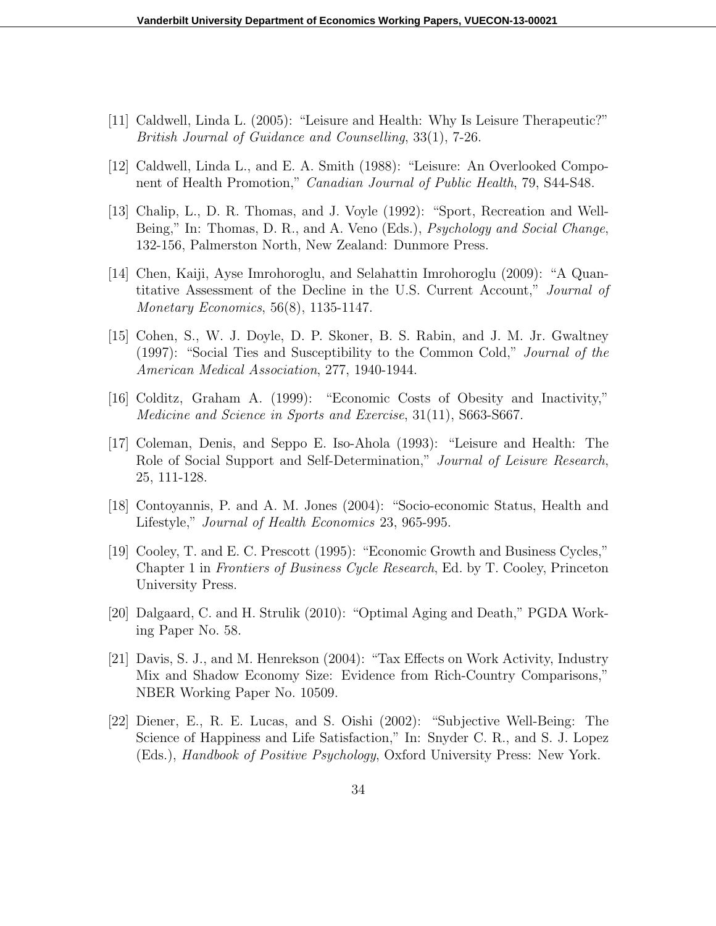- [11] Caldwell, Linda L. (2005): "Leisure and Health: Why Is Leisure Therapeutic?" *British Journal of Guidance and Counselling*, 33(1), 7-26.
- [12] Caldwell, Linda L., and E. A. Smith (1988): "Leisure: An Overlooked Component of Health Promotion," *Canadian Journal of Public Health*, 79, S44-S48.
- [13] Chalip, L., D. R. Thomas, and J. Voyle (1992): "Sport, Recreation and Well-Being," In: Thomas, D. R., and A. Veno (Eds.), *Psychology and Social Change*, 132-156, Palmerston North, New Zealand: Dunmore Press.
- [14] Chen, Kaiji, Ayse Imrohoroglu, and Selahattin Imrohoroglu (2009): "A Quantitative Assessment of the Decline in the U.S. Current Account," *Journal of Monetary Economics*, 56(8), 1135-1147.
- [15] Cohen, S., W. J. Doyle, D. P. Skoner, B. S. Rabin, and J. M. Jr. Gwaltney (1997): "Social Ties and Susceptibility to the Common Cold," *Journal of the American Medical Association*, 277, 1940-1944.
- [16] Colditz, Graham A. (1999): "Economic Costs of Obesity and Inactivity," *Medicine and Science in Sports and Exercise*, 31(11), S663-S667.
- [17] Coleman, Denis, and Seppo E. Iso-Ahola (1993): "Leisure and Health: The Role of Social Support and Self-Determination," *Journal of Leisure Research*, 25, 111-128.
- [18] Contoyannis, P. and A. M. Jones (2004): "Socio-economic Status, Health and Lifestyle," *Journal of Health Economics* 23, 965-995.
- [19] Cooley, T. and E. C. Prescott (1995): "Economic Growth and Business Cycles," Chapter 1 in *Frontiers of Business Cycle Research*, Ed. by T. Cooley, Princeton University Press.
- [20] Dalgaard, C. and H. Strulik (2010): "Optimal Aging and Death," PGDA Working Paper No. 58.
- [21] Davis, S. J., and M. Henrekson (2004): "Tax Effects on Work Activity, Industry Mix and Shadow Economy Size: Evidence from Rich-Country Comparisons," NBER Working Paper No. 10509.
- [22] Diener, E., R. E. Lucas, and S. Oishi (2002): "Subjective Well-Being: The Science of Happiness and Life Satisfaction," In: Snyder C. R., and S. J. Lopez (Eds.), *Handbook of Positive Psychology*, Oxford University Press: New York.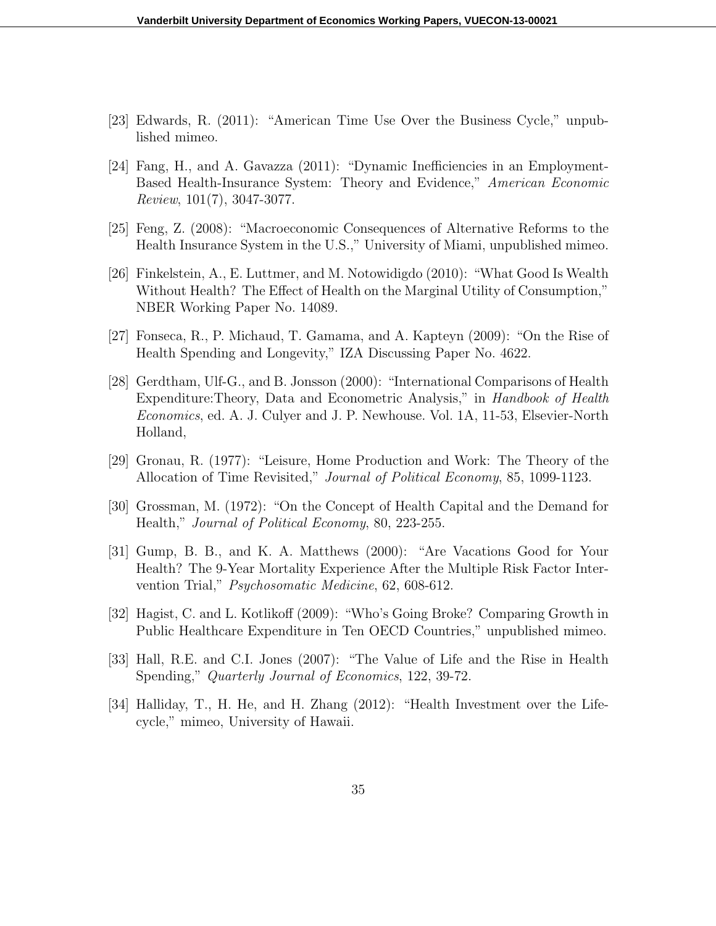- [23] Edwards, R. (2011): "American Time Use Over the Business Cycle," unpublished mimeo.
- [24] Fang, H., and A. Gavazza (2011): "Dynamic Inefficiencies in an Employment-Based Health-Insurance System: Theory and Evidence," *American Economic Review*, 101(7), 3047-3077.
- [25] Feng, Z. (2008): "Macroeconomic Consequences of Alternative Reforms to the Health Insurance System in the U.S.," University of Miami, unpublished mimeo.
- [26] Finkelstein, A., E. Luttmer, and M. Notowidigdo (2010): "What Good Is Wealth Without Health? The Effect of Health on the Marginal Utility of Consumption," NBER Working Paper No. 14089.
- [27] Fonseca, R., P. Michaud, T. Gamama, and A. Kapteyn (2009): "On the Rise of Health Spending and Longevity," IZA Discussing Paper No. 4622.
- [28] Gerdtham, Ulf-G., and B. Jonsson (2000): "International Comparisons of Health Expenditure:Theory, Data and Econometric Analysis," in *Handbook of Health Economics*, ed. A. J. Culyer and J. P. Newhouse. Vol. 1A, 11-53, Elsevier-North Holland,
- [29] Gronau, R. (1977): "Leisure, Home Production and Work: The Theory of the Allocation of Time Revisited," *Journal of Political Economy*, 85, 1099-1123.
- [30] Grossman, M. (1972): "On the Concept of Health Capital and the Demand for Health," *Journal of Political Economy*, 80, 223-255.
- [31] Gump, B. B., and K. A. Matthews (2000): "Are Vacations Good for Your Health? The 9-Year Mortality Experience After the Multiple Risk Factor Intervention Trial," *Psychosomatic Medicine*, 62, 608-612.
- [32] Hagist, C. and L. Kotlikoff (2009): "Who's Going Broke? Comparing Growth in Public Healthcare Expenditure in Ten OECD Countries," unpublished mimeo.
- [33] Hall, R.E. and C.I. Jones (2007): "The Value of Life and the Rise in Health Spending," *Quarterly Journal of Economics*, 122, 39-72.
- [34] Halliday, T., H. He, and H. Zhang (2012): "Health Investment over the Lifecycle," mimeo, University of Hawaii.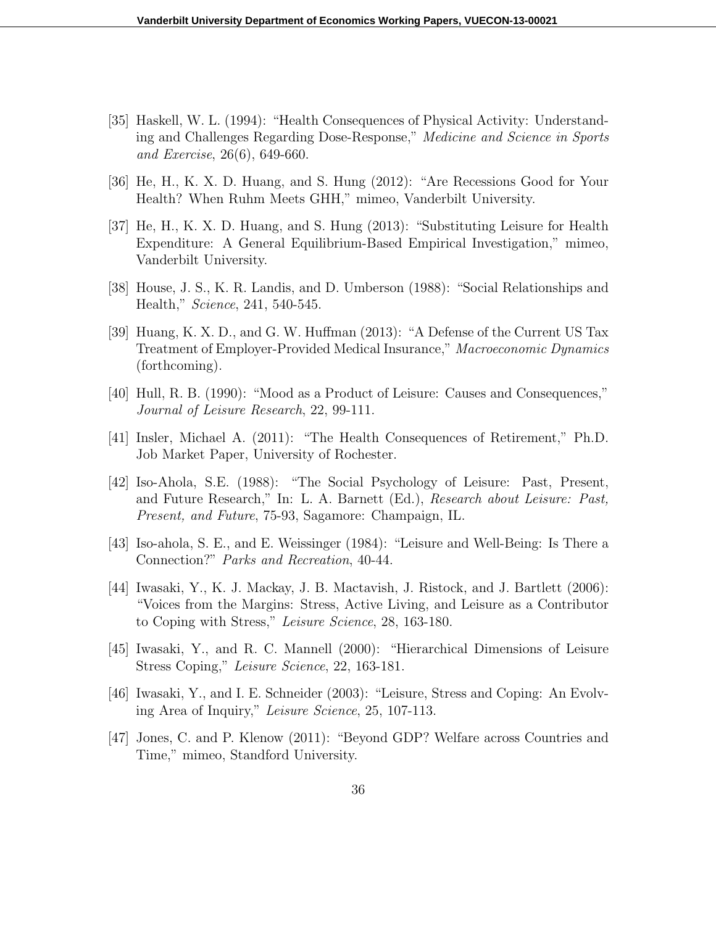- [35] Haskell, W. L. (1994): "Health Consequences of Physical Activity: Understanding and Challenges Regarding Dose-Response," *Medicine and Science in Sports and Exercise*, 26(6), 649-660.
- [36] He, H., K. X. D. Huang, and S. Hung (2012): "Are Recessions Good for Your Health? When Ruhm Meets GHH," mimeo, Vanderbilt University.
- [37] He, H., K. X. D. Huang, and S. Hung (2013): "Substituting Leisure for Health Expenditure: A General Equilibrium-Based Empirical Investigation," mimeo, Vanderbilt University.
- [38] House, J. S., K. R. Landis, and D. Umberson (1988): "Social Relationships and Health," *Science*, 241, 540-545.
- [39] Huang, K. X. D., and G. W. Huffman (2013): "A Defense of the Current US Tax Treatment of Employer-Provided Medical Insurance," *Macroeconomic Dynamics* (forthcoming).
- [40] Hull, R. B. (1990): "Mood as a Product of Leisure: Causes and Consequences," *Journal of Leisure Research*, 22, 99-111.
- [41] Insler, Michael A. (2011): "The Health Consequences of Retirement," Ph.D. Job Market Paper, University of Rochester.
- [42] Iso-Ahola, S.E. (1988): "The Social Psychology of Leisure: Past, Present, and Future Research," In: L. A. Barnett (Ed.), *Research about Leisure: Past, Present, and Future*, 75-93, Sagamore: Champaign, IL.
- [43] Iso-ahola, S. E., and E. Weissinger (1984): "Leisure and Well-Being: Is There a Connection?" *Parks and Recreation*, 40-44.
- [44] Iwasaki, Y., K. J. Mackay, J. B. Mactavish, J. Ristock, and J. Bartlett (2006): "Voices from the Margins: Stress, Active Living, and Leisure as a Contributor to Coping with Stress," *Leisure Science*, 28, 163-180.
- [45] Iwasaki, Y., and R. C. Mannell (2000): "Hierarchical Dimensions of Leisure Stress Coping," *Leisure Science*, 22, 163-181.
- [46] Iwasaki, Y., and I. E. Schneider (2003): "Leisure, Stress and Coping: An Evolving Area of Inquiry," *Leisure Science*, 25, 107-113.
- [47] Jones, C. and P. Klenow (2011): "Beyond GDP? Welfare across Countries and Time," mimeo, Standford University.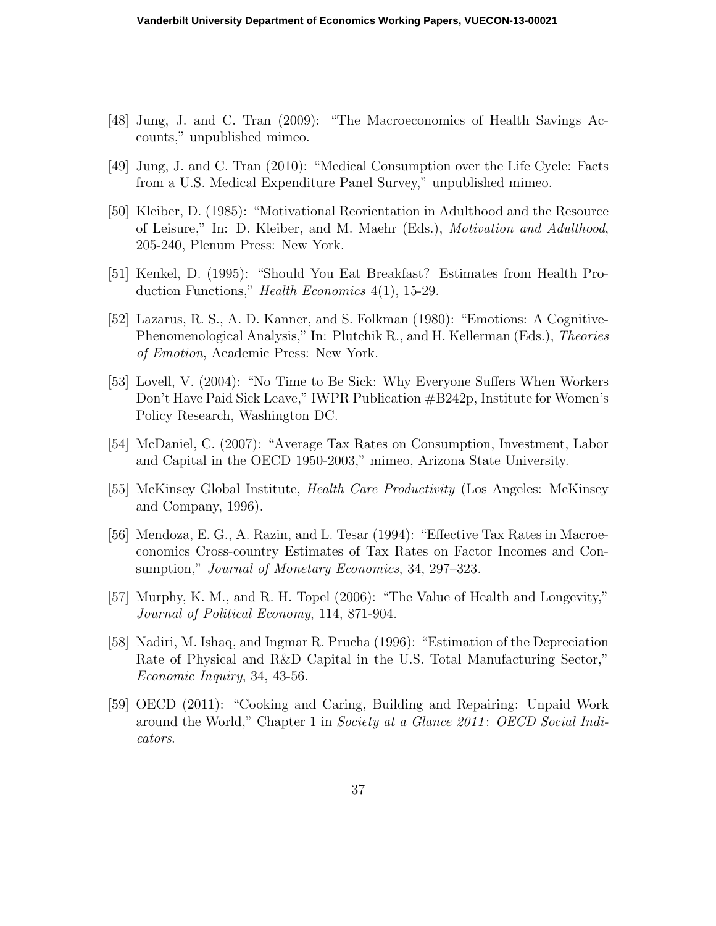- [48] Jung, J. and C. Tran (2009): "The Macroeconomics of Health Savings Accounts," unpublished mimeo.
- [49] Jung, J. and C. Tran (2010): "Medical Consumption over the Life Cycle: Facts from a U.S. Medical Expenditure Panel Survey," unpublished mimeo.
- [50] Kleiber, D. (1985): "Motivational Reorientation in Adulthood and the Resource of Leisure," In: D. Kleiber, and M. Maehr (Eds.), *Motivation and Adulthood*, 205-240, Plenum Press: New York.
- [51] Kenkel, D. (1995): "Should You Eat Breakfast? Estimates from Health Production Functions," *Health Economics* 4(1), 15-29.
- [52] Lazarus, R. S., A. D. Kanner, and S. Folkman (1980): "Emotions: A Cognitive-Phenomenological Analysis," In: Plutchik R., and H. Kellerman (Eds.), *Theories of Emotion*, Academic Press: New York.
- [53] Lovell, V. (2004): "No Time to Be Sick: Why Everyone Suffers When Workers Don't Have Paid Sick Leave," IWPR Publication #B242p, Institute for Women's Policy Research, Washington DC.
- [54] McDaniel, C. (2007): "Average Tax Rates on Consumption, Investment, Labor and Capital in the OECD 1950-2003," mimeo, Arizona State University.
- [55] McKinsey Global Institute, *Health Care Productivity* (Los Angeles: McKinsey and Company, 1996).
- [56] Mendoza, E. G., A. Razin, and L. Tesar (1994): "Effective Tax Rates in Macroeconomics Cross-country Estimates of Tax Rates on Factor Incomes and Consumption," *Journal of Monetary Economics*, 34, 297–323.
- [57] Murphy, K. M., and R. H. Topel (2006): "The Value of Health and Longevity," *Journal of Political Economy*, 114, 871-904.
- [58] Nadiri, M. Ishaq, and Ingmar R. Prucha (1996): "Estimation of the Depreciation Rate of Physical and R&D Capital in the U.S. Total Manufacturing Sector," *Economic Inquiry*, 34, 43-56.
- [59] OECD (2011): "Cooking and Caring, Building and Repairing: Unpaid Work around the World," Chapter 1 in *Society at a Glance 2011* : *OECD Social Indicators*.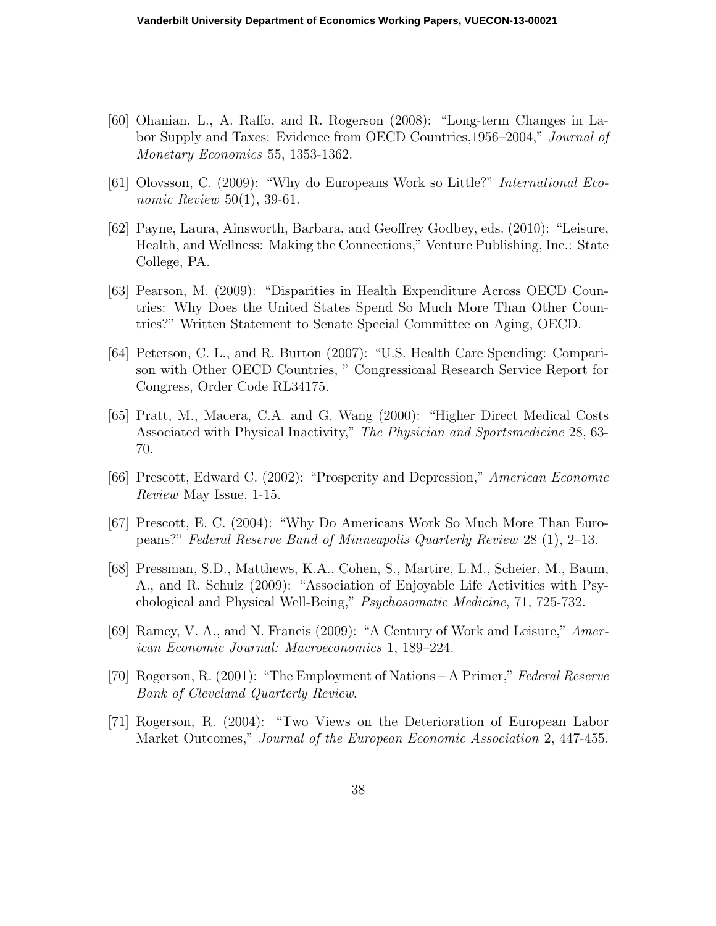- [60] Ohanian, L., A. Raffo, and R. Rogerson (2008): "Long-term Changes in Labor Supply and Taxes: Evidence from OECD Countries,1956–2004," *Journal of Monetary Economics* 55, 1353-1362.
- [61] Olovsson, C. (2009): "Why do Europeans Work so Little?" *International Economic Review* 50(1), 39-61.
- [62] Payne, Laura, Ainsworth, Barbara, and Geoffrey Godbey, eds. (2010): "Leisure, Health, and Wellness: Making the Connections," Venture Publishing, Inc.: State College, PA.
- [63] Pearson, M. (2009): "Disparities in Health Expenditure Across OECD Countries: Why Does the United States Spend So Much More Than Other Countries?" Written Statement to Senate Special Committee on Aging, OECD.
- [64] Peterson, C. L., and R. Burton (2007): "U.S. Health Care Spending: Comparison with Other OECD Countries, " Congressional Research Service Report for Congress, Order Code RL34175.
- [65] Pratt, M., Macera, C.A. and G. Wang (2000): "Higher Direct Medical Costs Associated with Physical Inactivity," *The Physician and Sportsmedicine* 28, 63- 70.
- [66] Prescott, Edward C. (2002): "Prosperity and Depression," *American Economic Review* May Issue, 1-15.
- [67] Prescott, E. C. (2004): "Why Do Americans Work So Much More Than Europeans?" *Federal Reserve Band of Minneapolis Quarterly Review* 28 (1), 2–13.
- [68] Pressman, S.D., Matthews, K.A., Cohen, S., Martire, L.M., Scheier, M., Baum, A., and R. Schulz (2009): "Association of Enjoyable Life Activities with Psychological and Physical Well-Being," *Psychosomatic Medicine*, 71, 725-732.
- [69] Ramey, V. A., and N. Francis (2009): "A Century of Work and Leisure," *American Economic Journal: Macroeconomics* 1, 189–224.
- [70] Rogerson, R. (2001): "The Employment of Nations A Primer," *Federal Reserve Bank of Cleveland Quarterly Review*.
- [71] Rogerson, R. (2004): "Two Views on the Deterioration of European Labor Market Outcomes," *Journal of the European Economic Association* 2, 447-455.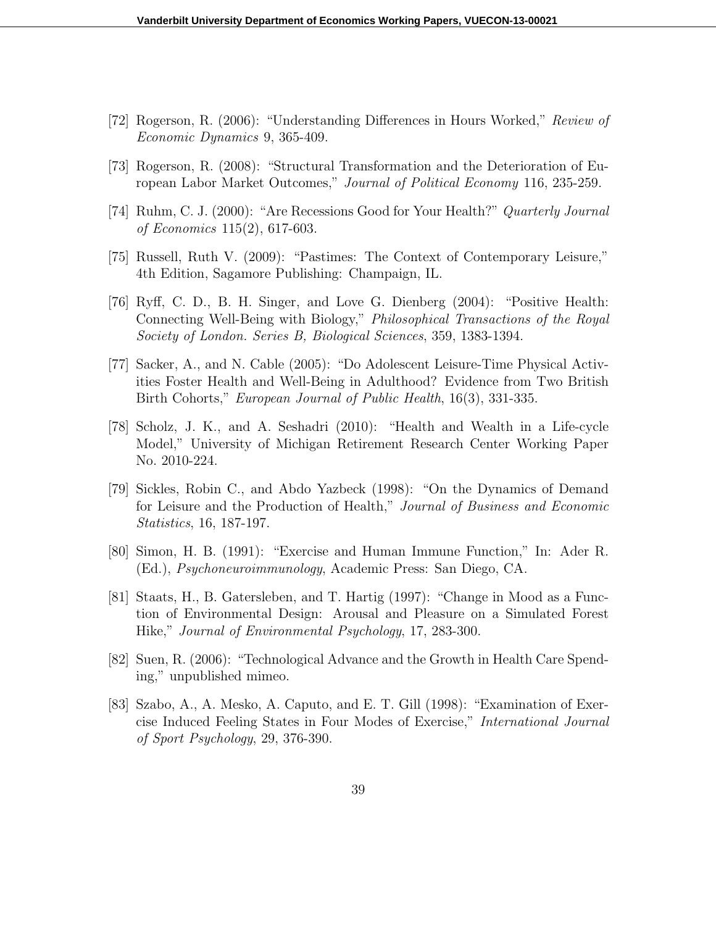- [72] Rogerson, R. (2006): "Understanding Differences in Hours Worked," *Review of Economic Dynamics* 9, 365-409.
- [73] Rogerson, R. (2008): "Structural Transformation and the Deterioration of European Labor Market Outcomes," *Journal of Political Economy* 116, 235-259.
- [74] Ruhm, C. J. (2000): "Are Recessions Good for Your Health?" *Quarterly Journal of Economics* 115(2), 617-603.
- [75] Russell, Ruth V. (2009): "Pastimes: The Context of Contemporary Leisure," 4th Edition, Sagamore Publishing: Champaign, IL.
- [76] Ryff, C. D., B. H. Singer, and Love G. Dienberg (2004): "Positive Health: Connecting Well-Being with Biology," *Philosophical Transactions of the Royal Society of London. Series B, Biological Sciences*, 359, 1383-1394.
- [77] Sacker, A., and N. Cable (2005): "Do Adolescent Leisure-Time Physical Activities Foster Health and Well-Being in Adulthood? Evidence from Two British Birth Cohorts," *European Journal of Public Health*, 16(3), 331-335.
- [78] Scholz, J. K., and A. Seshadri (2010): "Health and Wealth in a Life-cycle Model," University of Michigan Retirement Research Center Working Paper No. 2010-224.
- [79] Sickles, Robin C., and Abdo Yazbeck (1998): "On the Dynamics of Demand for Leisure and the Production of Health," *Journal of Business and Economic Statistics*, 16, 187-197.
- [80] Simon, H. B. (1991): "Exercise and Human Immune Function," In: Ader R. (Ed.), *Psychoneuroimmunology*, Academic Press: San Diego, CA.
- [81] Staats, H., B. Gatersleben, and T. Hartig (1997): "Change in Mood as a Function of Environmental Design: Arousal and Pleasure on a Simulated Forest Hike," *Journal of Environmental Psychology*, 17, 283-300.
- [82] Suen, R. (2006): "Technological Advance and the Growth in Health Care Spending," unpublished mimeo.
- [83] Szabo, A., A. Mesko, A. Caputo, and E. T. Gill (1998): "Examination of Exercise Induced Feeling States in Four Modes of Exercise," *International Journal of Sport Psychology*, 29, 376-390.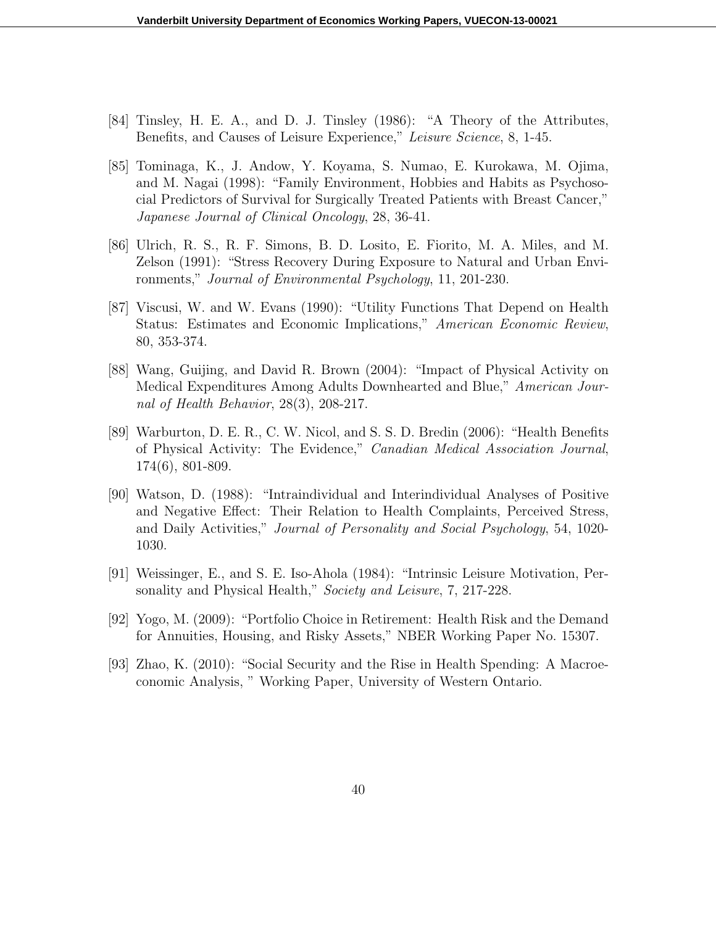- [84] Tinsley, H. E. A., and D. J. Tinsley (1986): "A Theory of the Attributes, Benefits, and Causes of Leisure Experience," *Leisure Science*, 8, 1-45.
- [85] Tominaga, K., J. Andow, Y. Koyama, S. Numao, E. Kurokawa, M. Ojima, and M. Nagai (1998): "Family Environment, Hobbies and Habits as Psychosocial Predictors of Survival for Surgically Treated Patients with Breast Cancer," *Japanese Journal of Clinical Oncology*, 28, 36-41.
- [86] Ulrich, R. S., R. F. Simons, B. D. Losito, E. Fiorito, M. A. Miles, and M. Zelson (1991): "Stress Recovery During Exposure to Natural and Urban Environments," *Journal of Environmental Psychology*, 11, 201-230.
- [87] Viscusi, W. and W. Evans (1990): "Utility Functions That Depend on Health Status: Estimates and Economic Implications," *American Economic Review*, 80, 353-374.
- [88] Wang, Guijing, and David R. Brown (2004): "Impact of Physical Activity on Medical Expenditures Among Adults Downhearted and Blue," *American Journal of Health Behavior*, 28(3), 208-217.
- [89] Warburton, D. E. R., C. W. Nicol, and S. S. D. Bredin (2006): "Health Benefits of Physical Activity: The Evidence," *Canadian Medical Association Journal*, 174(6), 801-809.
- [90] Watson, D. (1988): "Intraindividual and Interindividual Analyses of Positive and Negative Effect: Their Relation to Health Complaints, Perceived Stress, and Daily Activities," *Journal of Personality and Social Psychology*, 54, 1020- 1030.
- [91] Weissinger, E., and S. E. Iso-Ahola (1984): "Intrinsic Leisure Motivation, Personality and Physical Health," *Society and Leisure*, 7, 217-228.
- [92] Yogo, M. (2009): "Portfolio Choice in Retirement: Health Risk and the Demand for Annuities, Housing, and Risky Assets," NBER Working Paper No. 15307.
- [93] Zhao, K. (2010): "Social Security and the Rise in Health Spending: A Macroeconomic Analysis, " Working Paper, University of Western Ontario.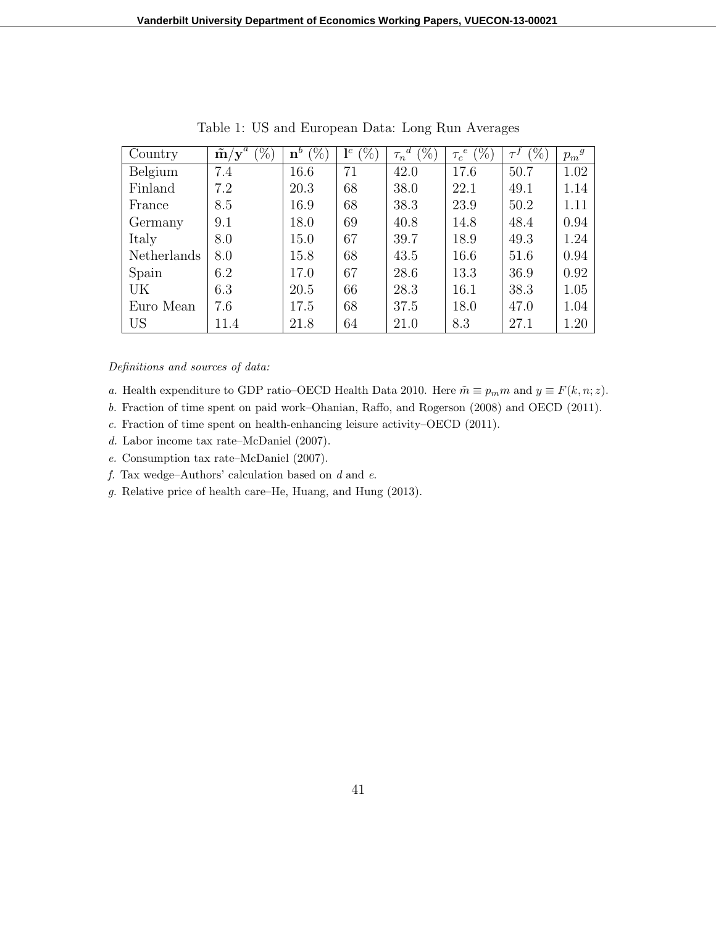| Country        | a<br>$(\%)$<br>$\tilde{\mathbf{m}}/\mathbf{y}^{\circ}$ | $(\% )$<br>$\mathbf{n}^b$ | $(\%)$<br>$\mathbf{l}^c$ | $(\%)$<br>d.<br>$\tau_n$ | $(\%)$<br>$\epsilon$<br>$\tau_c$ ' | $(\%)$ | $p_m{}^g$ |
|----------------|--------------------------------------------------------|---------------------------|--------------------------|--------------------------|------------------------------------|--------|-----------|
| Belgium        | 7.4                                                    | 16.6                      | 71                       | 42.0                     | 17.6                               | 50.7   | 1.02      |
| Finland        | 7.2                                                    | 20.3                      | 68                       | 38.0                     | 22.1                               | 49.1   | 1.14      |
| France         | 8.5                                                    | 16.9                      | 68                       | 38.3                     | 23.9                               | 50.2   | 1.11      |
| Germany        | 9.1                                                    | 18.0                      | 69                       | 40.8                     | 14.8                               | 48.4   | 0.94      |
| Italy          | 8.0                                                    | 15.0                      | 67                       | 39.7                     | 18.9                               | 49.3   | 1.24      |
| Netherlands    | 8.0                                                    | 15.8                      | 68                       | 43.5                     | 16.6                               | 51.6   | 0.94      |
| Spain          | 6.2                                                    | 17.0                      | 67                       | 28.6                     | 13.3                               | 36.9   | 0.92      |
| UK             | 6.3                                                    | 20.5                      | 66                       | 28.3                     | 16.1                               | 38.3   | 1.05      |
| Euro Mean      | 7.6                                                    | 17.5                      | 68                       | 37.5                     | 18.0                               | 47.0   | 1.04      |
| US <sub></sub> | 11.4                                                   | 21.8                      | 64                       | 21.0                     | 8.3                                | 27.1   | 1.20      |

Table 1: US and European Data: Long Run Averages

#### *Definitions and sources of data:*

- *a.* Health expenditure to GDP ratio–OECD Health Data 2010. Here  $\tilde{m} \equiv p_m m$  and  $y \equiv F(k, n; z)$ .
- *b.* Fraction of time spent on paid work–Ohanian, Raffo, and Rogerson (2008) and OECD (2011).
- *c.* Fraction of time spent on health-enhancing leisure activity–OECD (2011).
- *d.* Labor income tax rate–McDaniel (2007).
- *e.* Consumption tax rate–McDaniel (2007).
- *f.* Tax wedge–Authors' calculation based on *d* and *e*.
- *g.* Relative price of health care–He, Huang, and Hung (2013).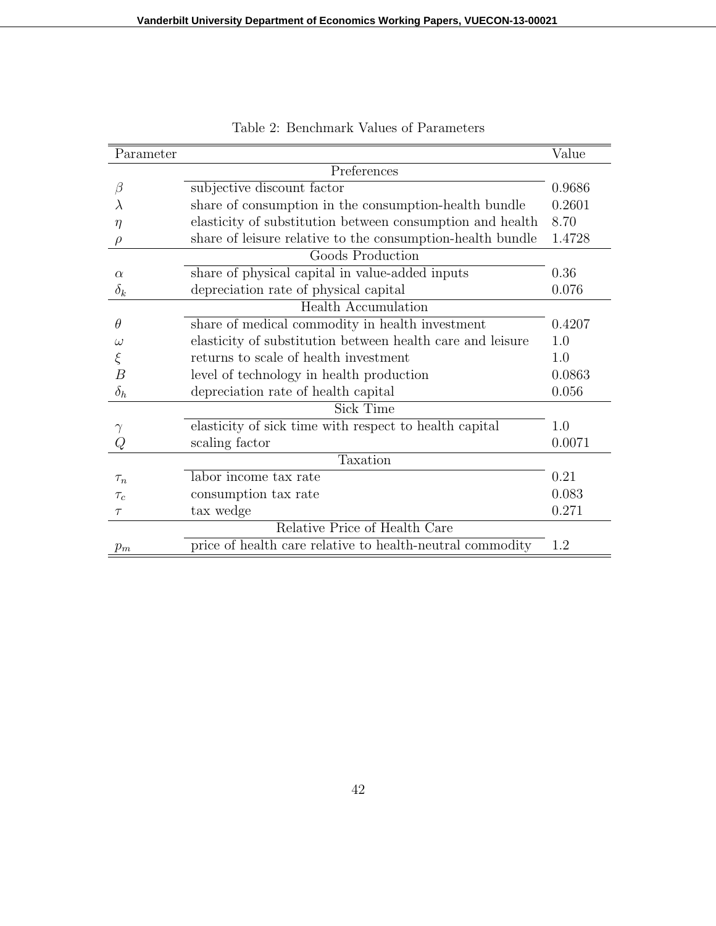| Parameter  |                                                            | Value  |
|------------|------------------------------------------------------------|--------|
|            | Preferences                                                |        |
| β          | subjective discount factor                                 | 0.9686 |
| $\lambda$  | share of consumption in the consumption-health bundle      | 0.2601 |
| $\eta$     | elasticity of substitution between consumption and health  | 8.70   |
|            | share of leisure relative to the consumption-health bundle | 1.4728 |
|            | Goods Production                                           |        |
| $\alpha$   | share of physical capital in value-added inputs            | 0.36   |
| $\delta_k$ | depreciation rate of physical capital                      | 0.076  |
|            | <b>Health Accumulation</b>                                 |        |
| $\theta$   | share of medical commodity in health investment            | 0.4207 |
| $\omega$   | elasticity of substitution between health care and leisure | 1.0    |
| ξ          | returns to scale of health investment                      | 1.0    |
| B          | level of technology in health production                   | 0.0863 |
| $\delta_h$ | depreciation rate of health capital                        | 0.056  |
|            | <b>Sick Time</b>                                           |        |
|            | elasticity of sick time with respect to health capital     | 1.0    |
| Q          | scaling factor                                             | 0.0071 |
|            | Taxation                                                   |        |
| $\tau_n$   | labor income tax rate                                      | 0.21   |
| $\tau_c$   | consumption tax rate                                       | 0.083  |
| $\tau$     | tax wedge                                                  | 0.271  |
|            | Relative Price of Health Care                              |        |
| $p_m$      | price of health care relative to health-neutral commodity  | 1.2    |

Table 2: Benchmark Values of Parameters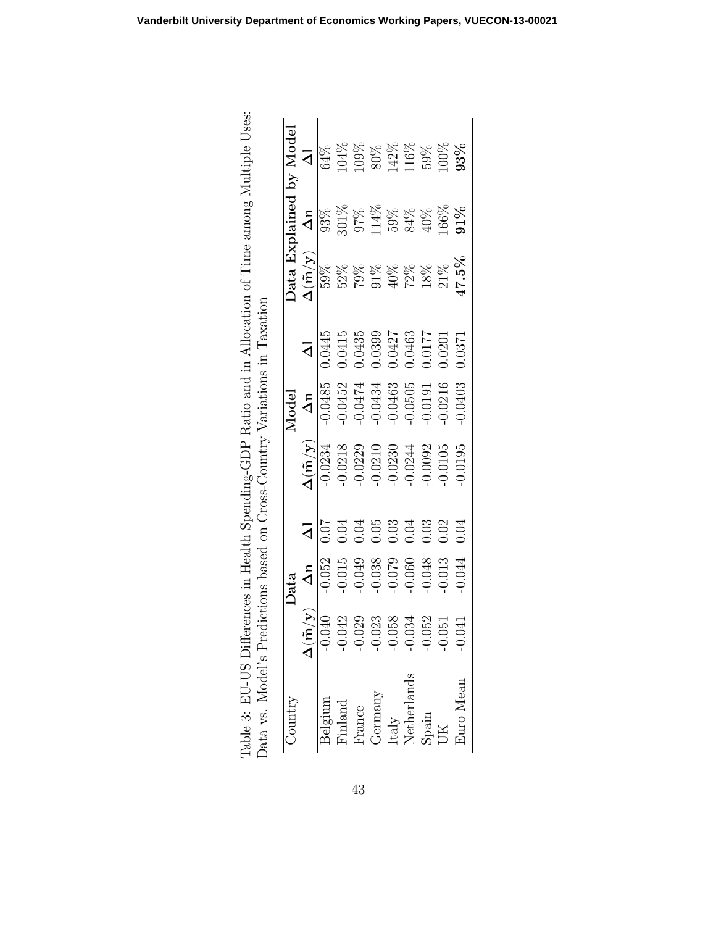| Country                                                                             |                                  | Data       |                     |                                                  | Model      |                     |                                         |                     | Data Explained by Model |
|-------------------------------------------------------------------------------------|----------------------------------|------------|---------------------|--------------------------------------------------|------------|---------------------|-----------------------------------------|---------------------|-------------------------|
|                                                                                     | $\overline{\Delta(\tilde{m}/y)}$ | $\Delta n$ | $\overline{\Delta}$ | $\mathbf{\Delta}(\tilde{\mathbf{n}}/\mathbf{y})$ | $\Delta n$ | $\overline{\Delta}$ | $\Delta(\tilde{\mathrm{m}}/\mathrm{y})$ | $\Delta n$          | $\overline{\mathsf{d}}$ |
| Belgium                                                                             | 040                              | 0.052      | 0.07                | $-0.0234$                                        | $-0.0485$  | 0.0445              | 59%                                     | 93%                 | 64%                     |
| Finland                                                                             | 042                              | 0.015      | 0.04                | $-0.0218$                                        | $-0.0452$  | 0.0415              |                                         |                     |                         |
| France                                                                              | 029                              | 0.049      | 0.04                | $-0.0229$                                        | $-0.0474$  | 0.0435              |                                         |                     | 104%<br>109%            |
| $\begin{array}{l} \text{Germany} \\ \text{Italy} \\ \text{Netherlands} \end{array}$ | 023                              | 0.038      | 0.05                | 0.0210                                           | $-0.0434$  | 0.0399              |                                         | 301%<br>97%<br>114% | $80\%$                  |
|                                                                                     | 058                              | 620.0      | 0.03                | 0.0230                                           | $-0.0463$  | 0.0427              |                                         |                     |                         |
|                                                                                     | 034                              | 0.060      | 0.04                | 0.0244                                           | $-0.0505$  | 0.0463              |                                         |                     |                         |
| Spain                                                                               | 052                              | 0.048      | 0.03                | 0.0092                                           | $-0.0191$  | 0.0177              | 52%<br>79%<br>50%<br>50%<br>50%<br>52%  | 59%<br>84%<br>40%   | 142%<br>116%<br>59%     |
|                                                                                     | $\rm 50$                         | 0.013      | 0.02                | 0.0105                                           | 0.0216     | 0.0201              | $21\%$                                  | 166%                | $00\%$                  |
| <b>ExelV</b> our                                                                    | 041                              | 0.044      | 0.04                | 0.0195                                           | 0.0403     | 1.0371              | 17.5%                                   | $91\%$              | 93%                     |

| erences in Health Spending-GDP Ratio and in Allocation of Time among Multiple Uses: |                                                         |  |
|-------------------------------------------------------------------------------------|---------------------------------------------------------|--|
|                                                                                     |                                                         |  |
|                                                                                     |                                                         |  |
|                                                                                     |                                                         |  |
|                                                                                     |                                                         |  |
|                                                                                     |                                                         |  |
|                                                                                     |                                                         |  |
|                                                                                     |                                                         |  |
|                                                                                     |                                                         |  |
|                                                                                     |                                                         |  |
|                                                                                     |                                                         |  |
|                                                                                     |                                                         |  |
|                                                                                     |                                                         |  |
|                                                                                     | edictions based on Cross-Country Variations in Taxation |  |
|                                                                                     |                                                         |  |
|                                                                                     |                                                         |  |
|                                                                                     |                                                         |  |
|                                                                                     |                                                         |  |
|                                                                                     |                                                         |  |
|                                                                                     |                                                         |  |
|                                                                                     |                                                         |  |
|                                                                                     |                                                         |  |
|                                                                                     |                                                         |  |
|                                                                                     |                                                         |  |
| Table 3: EU-US Diffe                                                                | Data vs. Model's Pre                                    |  |
|                                                                                     |                                                         |  |
|                                                                                     |                                                         |  |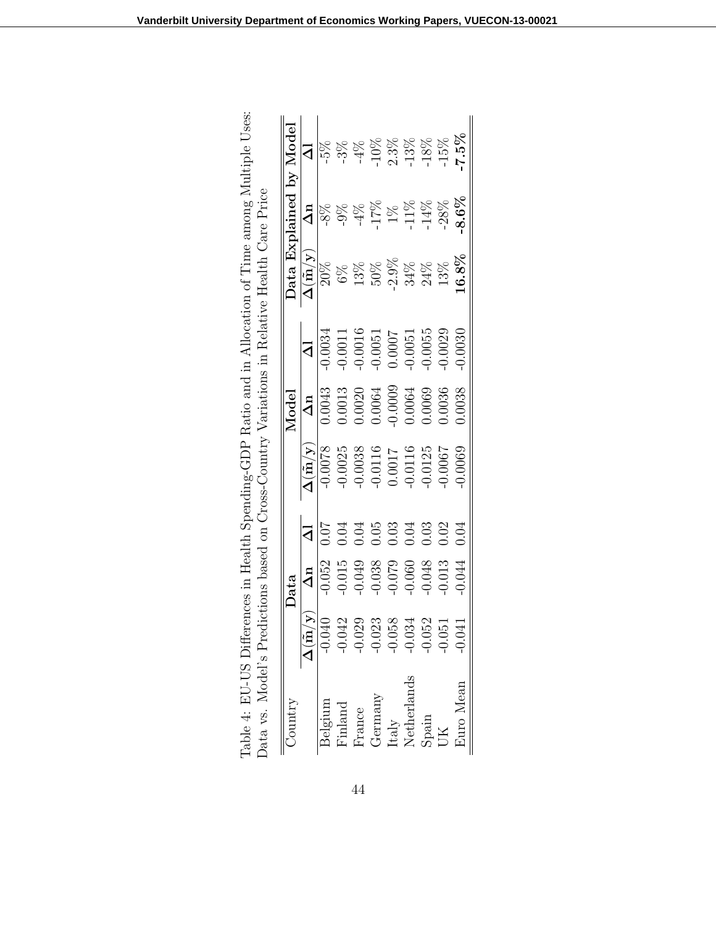| Jountry     |                                              | Data       |                         |                                         | Model      |                |                                         |                 | Data Explained by Model |
|-------------|----------------------------------------------|------------|-------------------------|-----------------------------------------|------------|----------------|-----------------------------------------|-----------------|-------------------------|
|             | $\overline{\Delta}(\tilde{{\bf m}}/{\bf y})$ | $\Delta n$ | $\overline{\mathsf{d}}$ | $\Delta(\tilde{\mathrm{m}}/\mathrm{y})$ | $\Delta n$ | $\overline{d}$ | $\Delta(\tilde{\mathrm{m}}/\mathrm{y})$ | $\Delta n$      | $\overline{\mathsf{d}}$ |
| Belgium     | $-0.040$                                     | 0.052      | 10.07                   | 0.0078                                  | 0.0043     | 0.0034         | $20\%$                                  | $\frac{8\%}{2}$ | 5%                      |
| Finland     | $-0.042$                                     | 0.015      | 0.04                    | 0.0025                                  | 0.0013     | $-0.0011$      | $6\%$                                   | $-9\%$          | $3\%$                   |
| France      | $-0.029$                                     | 0.049      | 0.04                    | 0.0038                                  | 0.0020     | 0.0016         |                                         | $4\%$           | $-4\%$                  |
| Germany     | $-0.023$                                     | 0.038      | 0.05                    | 0.0116                                  | 1.0064     | $-0.0051$      | $13\%$ $50\%$                           | 17%             | $10\%$                  |
| Italy       | $-0.058$                                     | $-0.079$   | 0.03                    | 1.0017                                  | $-0.0009$  | 0.0007         | $2.9\%$                                 | $1\%$           | $2.3\%$                 |
| Netherlands | $-0.034$                                     | 0.060      | 0.04                    | 0.0116                                  | 0.0064     | $-0.0051$      |                                         | 11%             | 13%                     |
| Spain       | $-0.052$                                     | 0.048      | 0.03                    | 0.0125                                  | 0.0069     | $-0.0055$      | $34%$<br>$24%$                          | $-14%$          | 18%                     |
|             | 051                                          | 0.013      | 0.02                    | 0.0007                                  | 0.0036     | $-0.0029$      | 13%                                     | $-28%$          | 15%                     |
| Euro Mean   | .041                                         | 0.044      | 0.04                    | 0.0069                                  | 0.0038     | 0.0030         | $.6.8\%$                                | $8.6\%$         | $7.5\%$                 |

| erences in Health Spending-GDP Ratio and in Allocation of Time among Multiple U | edictions based on Cross-Country Variations in Relative Health Care Price |
|---------------------------------------------------------------------------------|---------------------------------------------------------------------------|
| wie 4: EU-US Diff-                                                              | $\frac{1}{2}$<br>ita vs                                                   |